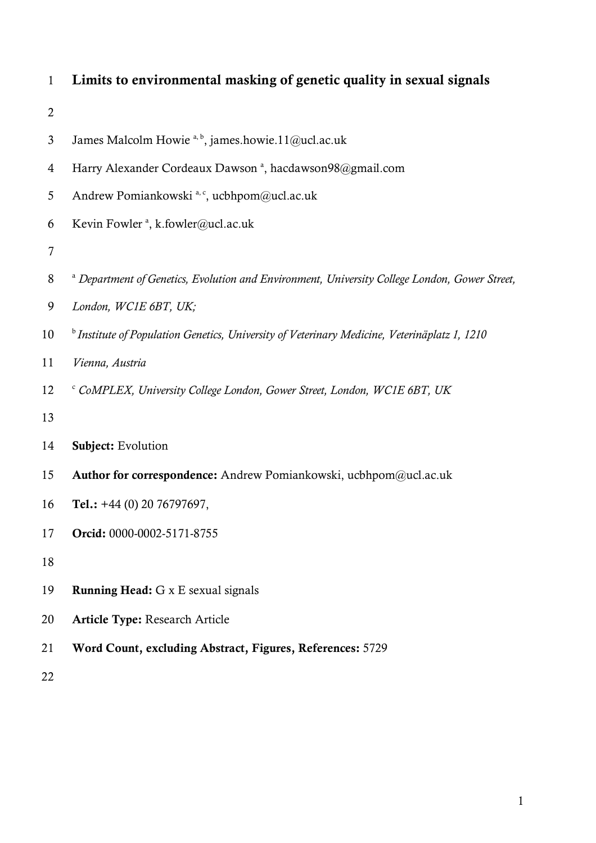| $\mathbf{1}$   | Limits to environmental masking of genetic quality in sexual signals                                     |
|----------------|----------------------------------------------------------------------------------------------------------|
| $\overline{2}$ |                                                                                                          |
| $\mathfrak{Z}$ | James Malcolm Howie <sup>a, b</sup> , james.howie.11@ucl.ac.uk                                           |
| $\overline{4}$ | Harry Alexander Cordeaux Dawson <sup>a</sup> , hacdawson98@gmail.com                                     |
| 5              | Andrew Pomiankowski <sup>a, c</sup> , ucbhpom@ucl.ac.uk                                                  |
| 6              | Kevin Fowler <sup>a</sup> , k.fowler@ucl.ac.uk                                                           |
| $\overline{7}$ |                                                                                                          |
| $8\,$          | <sup>a</sup> Department of Genetics, Evolution and Environment, University College London, Gower Street, |
| 9              | London, WC1E 6BT, UK;                                                                                    |
| 10             | <sup>b</sup> Institute of Population Genetics, University of Veterinary Medicine, Veterinäplatz 1, 1210  |
| 11             | Vienna, Austria                                                                                          |
| 12             | CoMPLEX, University College London, Gower Street, London, WC1E 6BT, UK                                   |
| 13             |                                                                                                          |
| 14             | Subject: Evolution                                                                                       |
| 15             | Author for correspondence: Andrew Pomiankowski, ucbhpom@ucl.ac.uk                                        |
| 16             | Tel.: $+44$ (0) 20 76797697,                                                                             |
| 17             | Orcid: 0000-0002-5171-8755                                                                               |
| 18             |                                                                                                          |
| 19             | <b>Running Head:</b> G x E sexual signals                                                                |
| 20             | <b>Article Type: Research Article</b>                                                                    |
| 21             | Word Count, excluding Abstract, Figures, References: 5729                                                |
| 22             |                                                                                                          |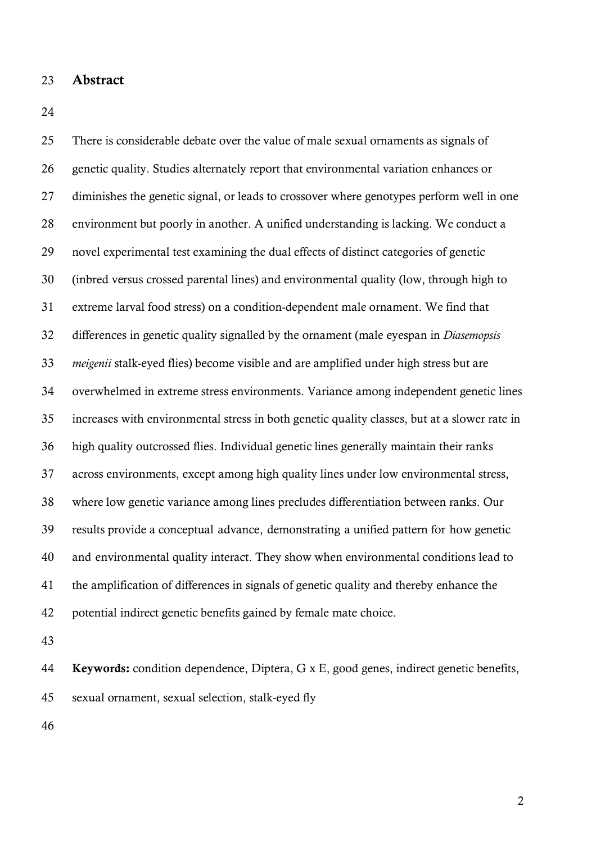- Abstract
- 

 There is considerable debate over the value of male sexual ornaments as signals of genetic quality. Studies alternately report that environmental variation enhances or diminishes the genetic signal, or leads to crossover where genotypes perform well in one environment but poorly in another. A unified understanding is lacking. We conduct a novel experimental test examining the dual effects of distinct categories of genetic (inbred versus crossed parental lines) and environmental quality (low, through high to extreme larval food stress) on a condition-dependent male ornament. We find that differences in genetic quality signalled by the ornament (male eyespan in *Diasemopsis meigenii* stalk-eyed flies) become visible and are amplified under high stress but are overwhelmed in extreme stress environments. Variance among independent genetic lines increases with environmental stress in both genetic quality classes, but at a slower rate in high quality outcrossed flies. Individual genetic lines generally maintain their ranks across environments, except among high quality lines under low environmental stress, where low genetic variance among lines precludes differentiation between ranks. Our results provide a conceptual advance, demonstrating a unified pattern for how genetic and environmental quality interact. They show when environmental conditions lead to the amplification of differences in signals of genetic quality and thereby enhance the potential indirect genetic benefits gained by female mate choice.

44 Keywords: condition dependence, Diptera, G x E, good genes, indirect genetic benefits, sexual ornament, sexual selection, stalk-eyed fly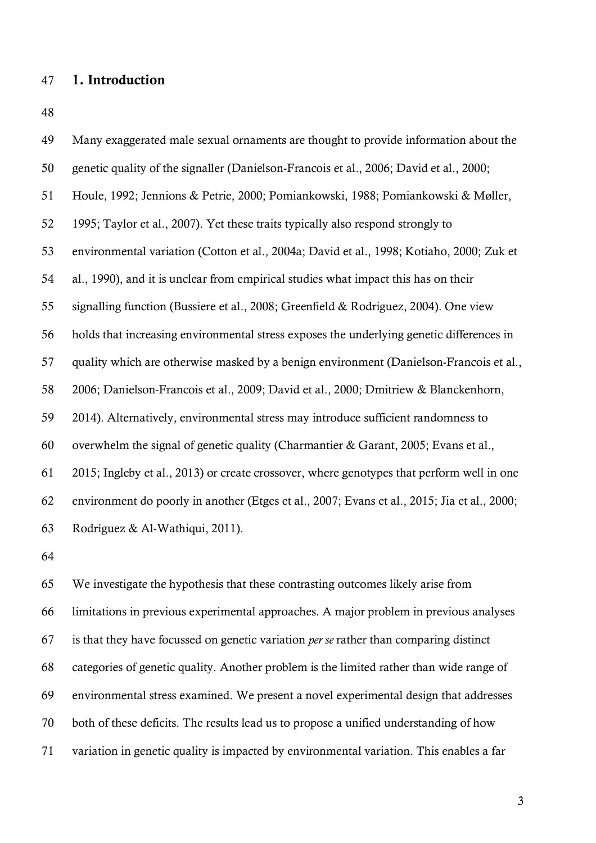# 1. Introduction

| 49 | Many exaggerated male sexual ornaments are thought to provide information about the         |
|----|---------------------------------------------------------------------------------------------|
| 50 | genetic quality of the signaller (Danielson-Francois et al., 2006; David et al., 2000;      |
| 51 | Houle, 1992; Jennions & Petrie, 2000; Pomiankowski, 1988; Pomiankowski & Møller,            |
| 52 | 1995; Taylor et al., 2007). Yet these traits typically also respond strongly to             |
| 53 | environmental variation (Cotton et al., 2004a; David et al., 1998; Kotiaho, 2000; Zuk et    |
| 54 | al., 1990), and it is unclear from empirical studies what impact this has on their          |
| 55 | signalling function (Bussiere et al., 2008; Greenfield & Rodriguez, 2004). One view         |
| 56 | holds that increasing environmental stress exposes the underlying genetic differences in    |
| 57 | quality which are otherwise masked by a benign environment (Danielson-Francois et al.,      |
| 58 | 2006; Danielson-Francois et al., 2009; David et al., 2000; Dmitriew & Blanckenhorn,         |
| 59 | 2014). Alternatively, environmental stress may introduce sufficient randomness to           |
| 60 | overwhelm the signal of genetic quality (Charmantier & Garant, 2005; Evans et al.,          |
| 61 | 2015; Ingleby et al., 2013) or create crossover, where genotypes that perform well in one   |
| 62 | environment do poorly in another (Etges et al., 2007; Evans et al., 2015; Jia et al., 2000; |
| 63 | Rodríguez & Al-Wathiqui, 2011).                                                             |

 We investigate the hypothesis that these contrasting outcomes likely arise from limitations in previous experimental approaches. A major problem in previous analyses is that they have focussed on genetic variation *per se* rather than comparing distinct categories of genetic quality. Another problem is the limited rather than wide range of environmental stress examined. We present a novel experimental design that addresses both of these deficits. The results lead us to propose a unified understanding of how variation in genetic quality is impacted by environmental variation. This enables a far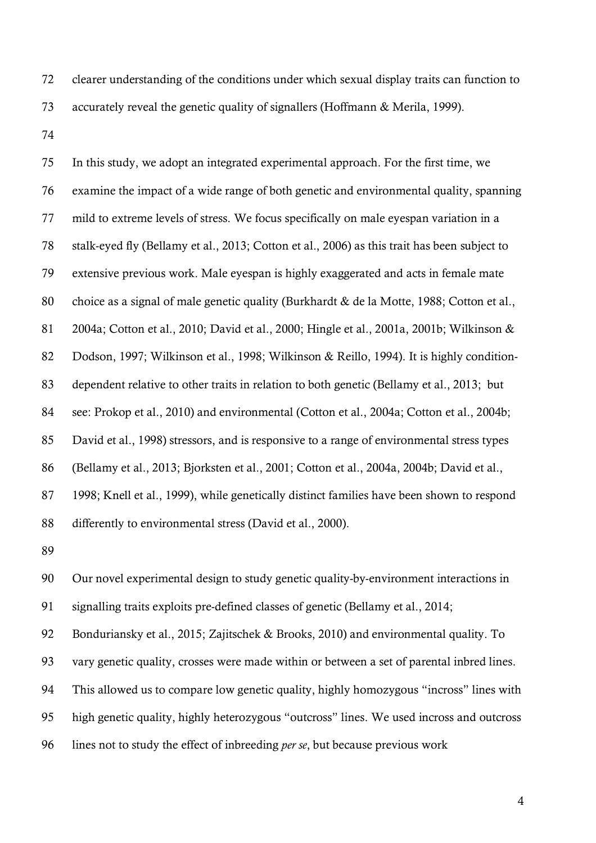clearer understanding of the conditions under which sexual display traits can function to accurately reveal the genetic quality of signallers (Hoffmann & Merila, 1999).

 In this study, we adopt an integrated experimental approach. For the first time, we examine the impact of a wide range of both genetic and environmental quality, spanning mild to extreme levels of stress. We focus specifically on male eyespan variation in a stalk-eyed fly (Bellamy et al., 2013; Cotton et al., 2006) as this trait has been subject to extensive previous work. Male eyespan is highly exaggerated and acts in female mate choice as a signal of male genetic quality (Burkhardt & de la Motte, 1988; Cotton et al., 2004a; Cotton et al., 2010; David et al., 2000; Hingle et al., 2001a, 2001b; Wilkinson & Dodson, 1997; Wilkinson et al., 1998; Wilkinson & Reillo, 1994). It is highly condition- dependent relative to other traits in relation to both genetic (Bellamy et al., 2013; but see: Prokop et al., 2010) and environmental (Cotton et al., 2004a; Cotton et al., 2004b; David et al., 1998) stressors, and is responsive to a range of environmental stress types (Bellamy et al., 2013; Bjorksten et al., 2001; Cotton et al., 2004a, 2004b; David et al., 1998; Knell et al., 1999), while genetically distinct families have been shown to respond differently to environmental stress (David et al., 2000).

 Our novel experimental design to study genetic quality-by-environment interactions in signalling traits exploits pre-defined classes of genetic (Bellamy et al., 2014;

 Bonduriansky et al., 2015; Zajitschek & Brooks, 2010) and environmental quality. To vary genetic quality, crosses were made within or between a set of parental inbred lines. This allowed us to compare low genetic quality, highly homozygous "incross" lines with high genetic quality, highly heterozygous "outcross" lines. We used incross and outcross lines not to study the effect of inbreeding *per se*, but because previous work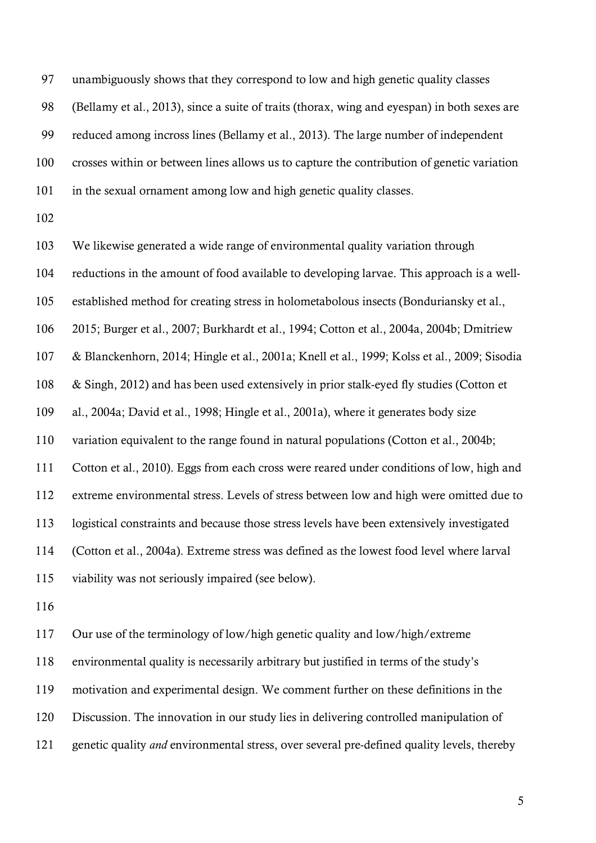unambiguously shows that they correspond to low and high genetic quality classes (Bellamy et al., 2013), since a suite of traits (thorax, wing and eyespan) in both sexes are reduced among incross lines (Bellamy et al., 2013). The large number of independent crosses within or between lines allows us to capture the contribution of genetic variation in the sexual ornament among low and high genetic quality classes.

 We likewise generated a wide range of environmental quality variation through reductions in the amount of food available to developing larvae. This approach is a well- established method for creating stress in holometabolous insects (Bonduriansky et al., 2015; Burger et al., 2007; Burkhardt et al., 1994; Cotton et al., 2004a, 2004b; Dmitriew & Blanckenhorn, 2014; Hingle et al., 2001a; Knell et al., 1999; Kolss et al., 2009; Sisodia & Singh, 2012) and has been used extensively in prior stalk-eyed fly studies (Cotton et al., 2004a; David et al., 1998; Hingle et al., 2001a), where it generates body size variation equivalent to the range found in natural populations (Cotton et al., 2004b; Cotton et al., 2010). Eggs from each cross were reared under conditions of low, high and extreme environmental stress. Levels of stress between low and high were omitted due to logistical constraints and because those stress levels have been extensively investigated (Cotton et al., 2004a). Extreme stress was defined as the lowest food level where larval viability was not seriously impaired (see below).

 Our use of the terminology of low/high genetic quality and low/high/extreme environmental quality is necessarily arbitrary but justified in terms of the study's motivation and experimental design. We comment further on these definitions in the Discussion. The innovation in our study lies in delivering controlled manipulation of genetic quality *and* environmental stress, over several pre-defined quality levels, thereby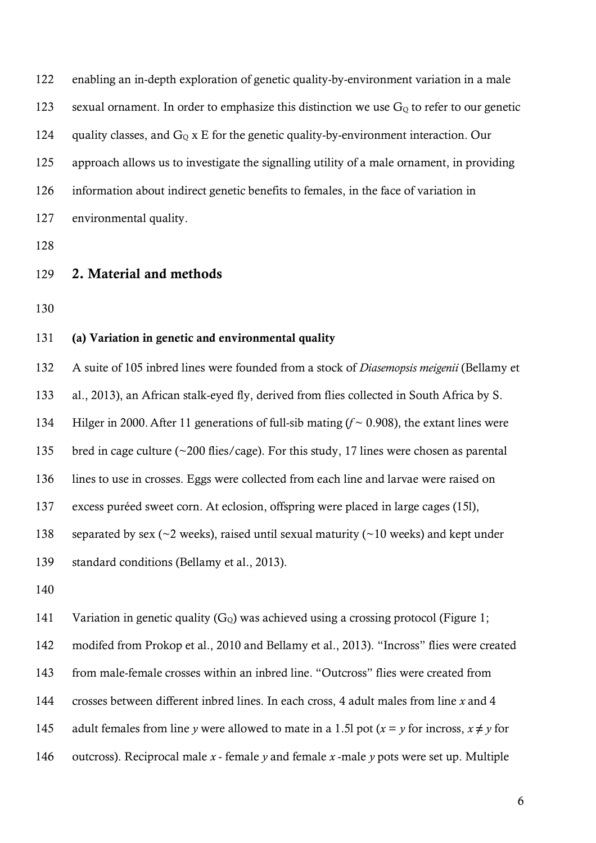enabling an in-depth exploration of genetic quality-by-environment variation in a male 123 sexual ornament. In order to emphasize this distinction we use  $G<sub>0</sub>$  to refer to our genetic 124 quality classes, and  $G<sub>Q</sub>$  x E for the genetic quality-by-environment interaction. Our approach allows us to investigate the signalling utility of a male ornament, in providing information about indirect genetic benefits to females, in the face of variation in environmental quality.

- 2. Material and methods
- 

### (a) Variation in genetic and environmental quality

 A suite of 105 inbred lines were founded from a stock of *Diasemopsis meigenii* (Bellamy et al., 2013), an African stalk-eyed fly, derived from flies collected in South Africa by S. Hilger in 2000.After 11 generations of full-sib mating (*f* ~ 0.908), the extant lines were bred in cage culture (~200 flies/cage). For this study, 17 lines were chosen as parental lines to use in crosses. Eggs were collected from each line and larvae were raised on excess puréed sweet corn. At eclosion, offspring were placed in large cages (15l), 138 separated by sex ( $\sim$ 2 weeks), raised until sexual maturity ( $\sim$ 10 weeks) and kept under standard conditions (Bellamy et al., 2013).

141 Variation in genetic quality  $(G<sub>o</sub>)$  was achieved using a crossing protocol (Figure 1; modifed from Prokop et al., 2010 and Bellamy et al., 2013). "Incross" flies were created

from male-female crosses within an inbred line. "Outcross" flies were created from

crosses between different inbred lines. In each cross, 4 adult males from line *x* and 4

- 145 adult females from line *y* were allowed to mate in a 1.5l pot  $(x = y)$  for incross,  $x \neq y$  for
- outcross). Reciprocal male *x*  female *y* and female *x* -male *y* pots were set up. Multiple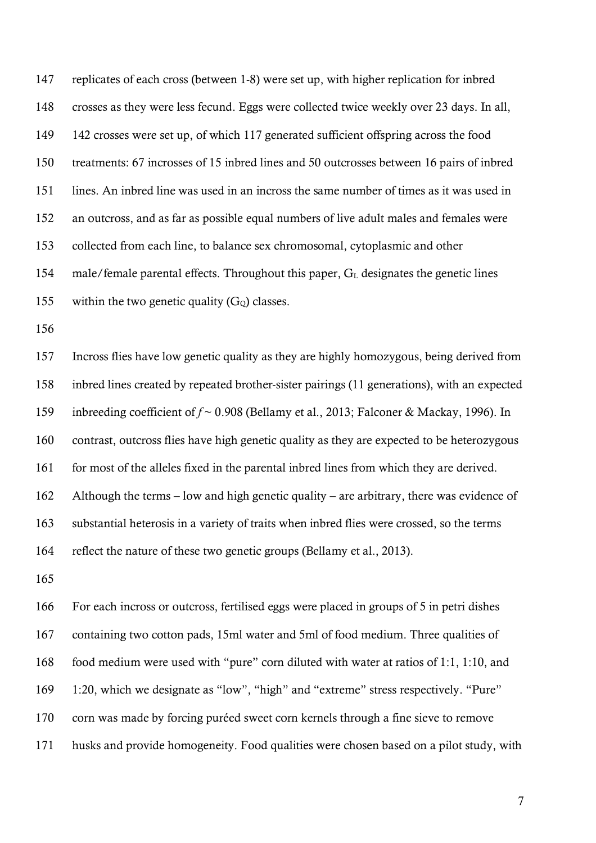replicates of each cross (between 1-8) were set up, with higher replication for inbred crosses as they were less fecund. Eggs were collected twice weekly over 23 days. In all, 142 crosses were set up, of which 117 generated sufficient offspring across the food treatments: 67 incrosses of 15 inbred lines and 50 outcrosses between 16 pairs of inbred lines. An inbred line was used in an incross the same number of times as it was used in an outcross, and as far as possible equal numbers of live adult males and females were collected from each line, to balance sex chromosomal, cytoplasmic and other 154 male/female parental effects. Throughout this paper,  $G<sub>L</sub>$  designates the genetic lines 155 within the two genetic quality  $(G<sub>o</sub>)$  classes.

 Incross flies have low genetic quality as they are highly homozygous, being derived from inbred lines created by repeated brother-sister pairings (11 generations), with an expected inbreeding coefficient of *f* ~ 0.908 (Bellamy et al., 2013; Falconer & Mackay, 1996). In contrast, outcross flies have high genetic quality as they are expected to be heterozygous 161 for most of the alleles fixed in the parental inbred lines from which they are derived. Although the terms – low and high genetic quality – are arbitrary, there was evidence of substantial heterosis in a variety of traits when inbred flies were crossed, so the terms reflect the nature of these two genetic groups (Bellamy et al., 2013).

 For each incross or outcross, fertilised eggs were placed in groups of 5 in petri dishes containing two cotton pads, 15ml water and 5ml of food medium. Three qualities of food medium were used with "pure" corn diluted with water at ratios of 1:1, 1:10, and 1:20, which we designate as "low", "high" and "extreme" stress respectively. "Pure" corn was made by forcing puréed sweet corn kernels through a fine sieve to remove husks and provide homogeneity. Food qualities were chosen based on a pilot study, with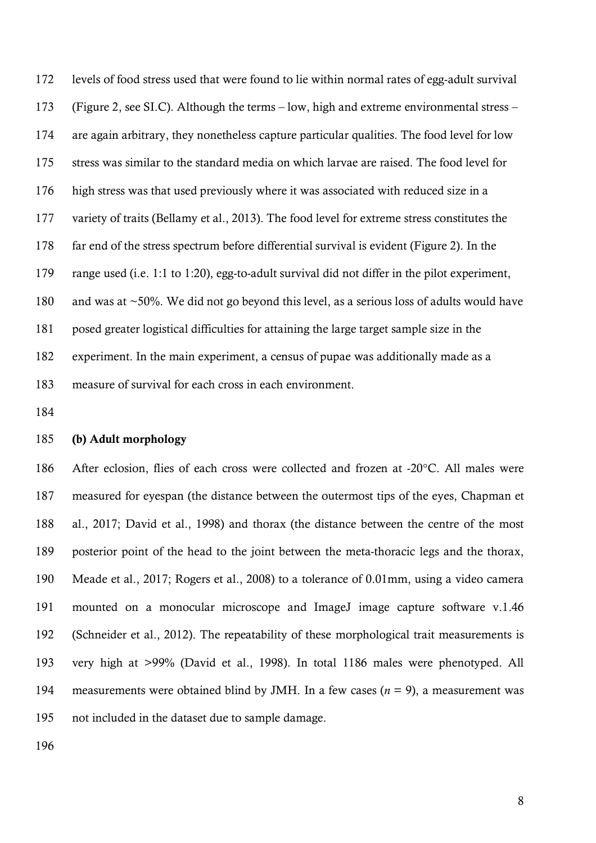levels of food stress used that were found to lie within normal rates of egg-adult survival (Figure 2, see SI.C). Although the terms – low, high and extreme environmental stress – are again arbitrary, they nonetheless capture particular qualities. The food level for low stress was similar to the standard media on which larvae are raised. The food level for high stress was that used previously where it was associated with reduced size in a variety of traits (Bellamy et al., 2013). The food level for extreme stress constitutes the far end of the stress spectrum before differential survival is evident (Figure 2). In the range used (i.e. 1:1 to 1:20), egg-to-adult survival did not differ in the pilot experiment, and was at ~50%. We did not go beyond this level, as a serious loss of adults would have posed greater logistical difficulties for attaining the large target sample size in the experiment. In the main experiment, a census of pupae was additionally made as a measure of survival for each cross in each environment.

#### (b) Adult morphology

 After eclosion, flies of each cross were collected and frozen at -20°C. All males were measured for eyespan (the distance between the outermost tips of the eyes, Chapman et al., 2017; David et al., 1998) and thorax (the distance between the centre of the most posterior point of the head to the joint between the meta-thoracic legs and the thorax, Meade et al., 2017; Rogers et al., 2008) to a tolerance of 0.01mm, using a video camera 191 mounted on a monocular microscope and ImageJ image capture software v.1.46 (Schneider et al., 2012). The repeatability of these morphological trait measurements is very high at >99% (David et al., 1998). In total 1186 males were phenotyped. All measurements were obtained blind by JMH. In a few cases (*n* = 9), a measurement was not included in the dataset due to sample damage.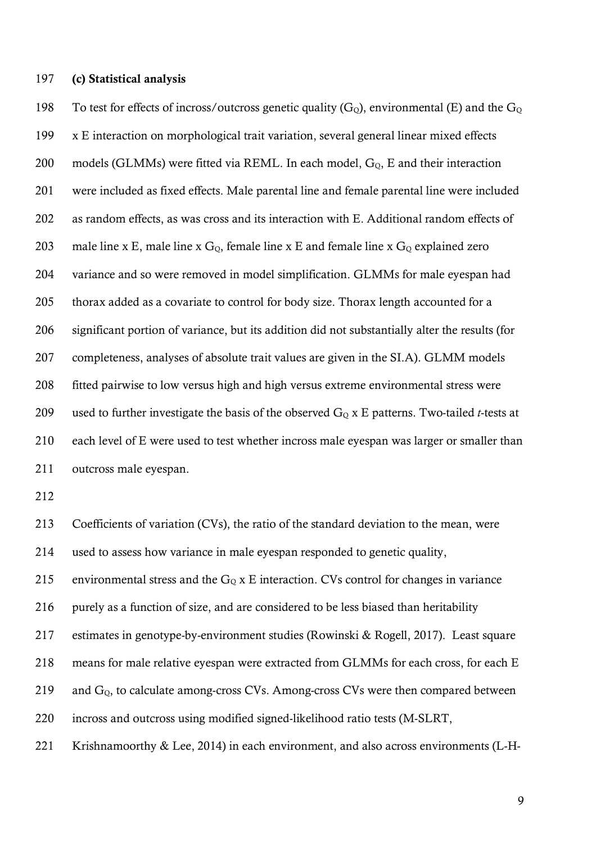(c) Statistical analysis

198 To test for effects of incross/outcross genetic quality  $(G<sub>o</sub>)$ , environmental (E) and the  $G<sub>o</sub>$  x E interaction on morphological trait variation, several general linear mixed effects 200 models (GLMMs) were fitted via REML. In each model,  $G<sub>0</sub>$ , E and their interaction were included as fixed effects. Male parental line and female parental line were included as random effects, as was cross and its interaction with E. Additional random effects of 203 male line x E, male line x  $G_Q$ , female line x E and female line x  $G_Q$  explained zero variance and so were removed in model simplification. GLMMs for male eyespan had thorax added as a covariate to control for body size. Thorax length accounted for a significant portion of variance, but its addition did not substantially alter the results (for completeness, analyses of absolute trait values are given in the SI.A). GLMM models fitted pairwise to low versus high and high versus extreme environmental stress were 209 used to further investigate the basis of the observed  $G<sub>o</sub>$  x E patterns. Two-tailed *t*-tests at each level of E were used to test whether incross male eyespan was larger or smaller than outcross male eyespan.

 Coefficients of variation (CVs), the ratio of the standard deviation to the mean, were used to assess how variance in male eyespan responded to genetic quality, 215 environmental stress and the  $G_Q$  x E interaction. CVs control for changes in variance purely as a function of size, and are considered to be less biased than heritability estimates in genotype-by-environment studies (Rowinski & Rogell, 2017). Least square means for male relative eyespan were extracted from GLMMs for each cross, for each E 219 and  $G<sub>0</sub>$ , to calculate among-cross CVs. Among-cross CVs were then compared between incross and outcross using modified signed-likelihood ratio tests (M-SLRT, Krishnamoorthy & Lee, 2014) in each environment, and also across environments (L-H-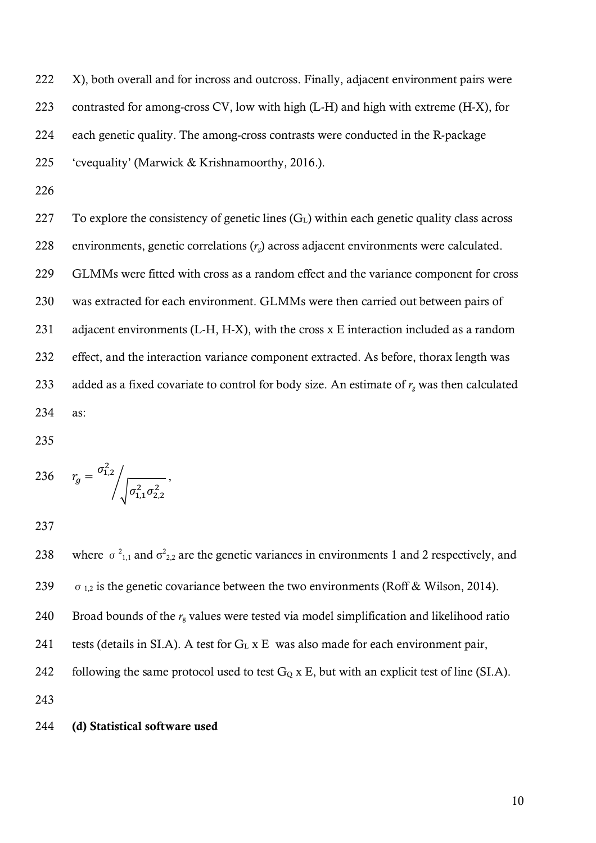222 X), both overall and for incross and outcross. Finally, adjacent environment pairs were contrasted for among-cross CV, low with high (L-H) and high with extreme (H-X), for each genetic quality. The among-cross contrasts were conducted in the R-package 'cvequality' (Marwick & Krishnamoorthy, 2016.).

226

227 To explore the consistency of genetic lines  $(G<sub>L</sub>)$  within each genetic quality class across 228 environments, genetic correlations (*rg*) across adjacent environments were calculated. 229 GLMMs were fitted with cross as a random effect and the variance component for cross 230 was extracted for each environment. GLMMs were then carried out between pairs of 231 adjacent environments (L-H, H-X), with the cross x E interaction included as a random 232 effect, and the interaction variance component extracted. As before, thorax length was 233 added as a fixed covariate to control for body size. An estimate of  $r_g$  was then calculated 234 as:

235

236 
$$
r_g = \frac{\sigma_{1,2}^2}{\sqrt{\sigma_{1,1}^2 \sigma_{2,2}^2}}
$$

237

238 where  $\sigma^2_{1,1}$  and  $\sigma^2_{2,2}$  are the genetic variances in environments 1 and 2 respectively, and 239  $\sigma_{1,2}$  is the genetic covariance between the two environments (Roff & Wilson, 2014). 240 Broad bounds of the *r*<sup>g</sup> values were tested via model simplification and likelihood ratio 241 tests (details in SI.A). A test for  $G<sub>L</sub>$  x E was also made for each environment pair, 242 following the same protocol used to test  $G_Q$  x E, but with an explicit test of line (SI.A). 243

## 244 (d) Statistical software used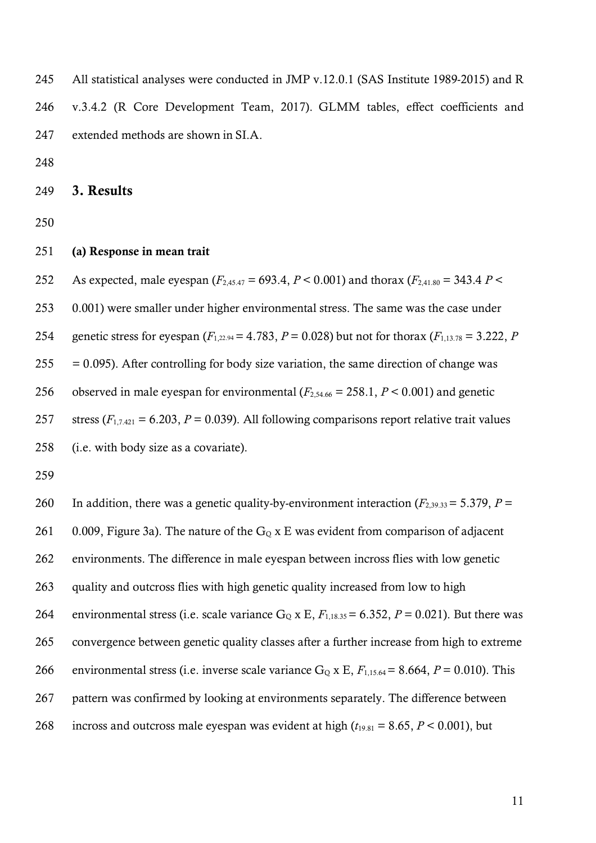All statistical analyses were conducted in JMP v.12.0.1 (SAS Institute 1989-2015) and R v.3.4.2 (R Core Development Team, 2017). GLMM tables, effect coefficients and extended methods are shown in SI.A.

3. Results

#### (a) Response in mean trait

252 As expected, male eyespan  $(F_{2,45,47} = 693.4, P < 0.001)$  and thorax  $(F_{2,41,80} = 343.4 P <$  0.001) were smaller under higher environmental stress. The same was the case under 254 genetic stress for eyespan  $(F_{1,22.94} = 4.783, P = 0.028)$  but not for thorax  $(F_{1,13.78} = 3.222, P$  $255 = 0.095$ ). After controlling for body size variation, the same direction of change was 256 observed in male eyespan for environmental  $(F_{2,54,66} = 258.1, P \lt 0.001)$  and genetic stress (*F*1,7.421 = 6.203, *P* = 0.039). All following comparisons report relative trait values (i.e. with body size as a covariate).

260 In addition, there was a genetic quality-by-environment interaction  $(F_{2,39,33} = 5.379, P =$ 261 0.009, Figure 3a). The nature of the  $G<sub>Q</sub>$  x E was evident from comparison of adjacent environments. The difference in male eyespan between incross flies with low genetic quality and outcross flies with high genetic quality increased from low to high 264 environmental stress (i.e. scale variance  $G_Q$  x E,  $F_{1,18,35} = 6.352$ ,  $P = 0.021$ ). But there was convergence between genetic quality classes after a further increase from high to extreme 266 environmental stress (i.e. inverse scale variance  $G_0$  x E,  $F_{1,15,64} = 8.664$ ,  $P = 0.010$ ). This pattern was confirmed by looking at environments separately. The difference between 268 incross and outcross male eyespan was evident at high  $(t_{19.81} = 8.65, P < 0.001)$ , but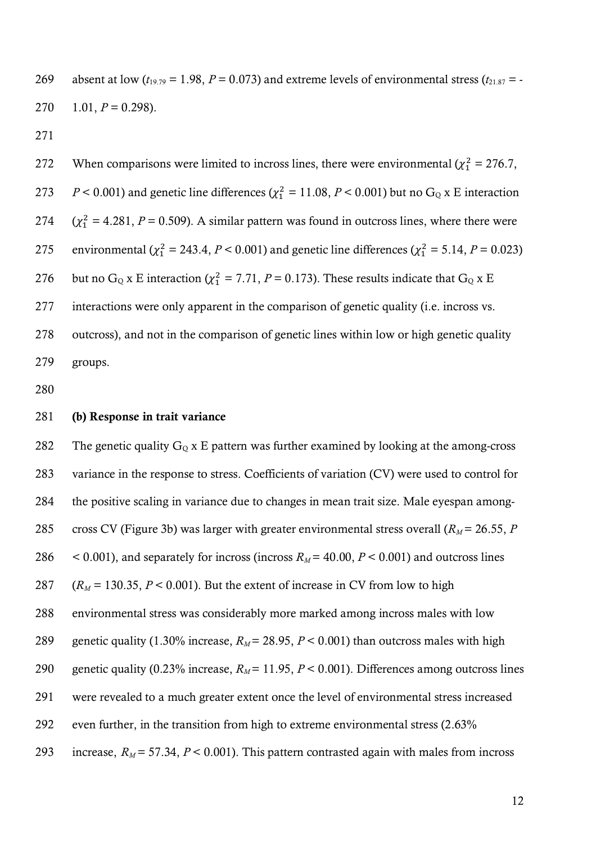269 absent at low  $(t_{19.79} = 1.98, P = 0.073)$  and extreme levels of environmental stress  $(t_{21.87} = -1.98, P = 0.073)$ 270  $1.01, P = 0.298$ .

271

272 When comparisons were limited to incross lines, there were environmental  $(\chi_1^2 = 276.7,$ 273  $P < 0.001$ ) and genetic line differences ( $\chi_1^2 = 11.08$ ,  $P < 0.001$ ) but no G<sub>Q</sub> x E interaction 274  $(\chi_1^2 = 4.281, P = 0.509)$ . A similar pattern was found in outcross lines, where there were 275 environmental ( $\chi^2$  = 243.4, *P* < 0.001) and genetic line differences ( $\chi^2$  = 5.14, *P* = 0.023) 276 but no G<sub>Q</sub> x E interaction ( $\chi^2 = 7.71$ ,  $P = 0.173$ ). These results indicate that G<sub>Q</sub> x E 277 interactions were only apparent in the comparison of genetic quality (i.e. incross vs. 278 outcross), and not in the comparison of genetic lines within low or high genetic quality 279 groups.

280

#### 281 (b) Response in trait variance

282 The genetic quality  $G<sub>Q</sub>$  x E pattern was further examined by looking at the among-cross 283 variance in the response to stress. Coefficients of variation (CV) were used to control for 284 the positive scaling in variance due to changes in mean trait size. Male eyespan among-285 cross CV (Figure 3b) was larger with greater environmental stress overall ( $R_M$  = 26.55, *P* 286  $\leq$  0.001), and separately for incross (incross  $R_M$  = 40.00,  $P \leq$  0.001) and outcross lines 287  $(R_M = 130.35, P < 0.001)$ . But the extent of increase in CV from low to high 288 environmental stress was considerably more marked among incross males with low 289 genetic quality (1.30% increase,  $R_M$  = 28.95,  $P$  < 0.001) than outcross males with high 290 genetic quality (0.23% increase,  $R_M$  = 11.95,  $P$  < 0.001). Differences among outcross lines 291 were revealed to a much greater extent once the level of environmental stress increased 292 even further, in the transition from high to extreme environmental stress (2.63% 293 increase,  $R_M$  = 57.34,  $P < 0.001$ ). This pattern contrasted again with males from incross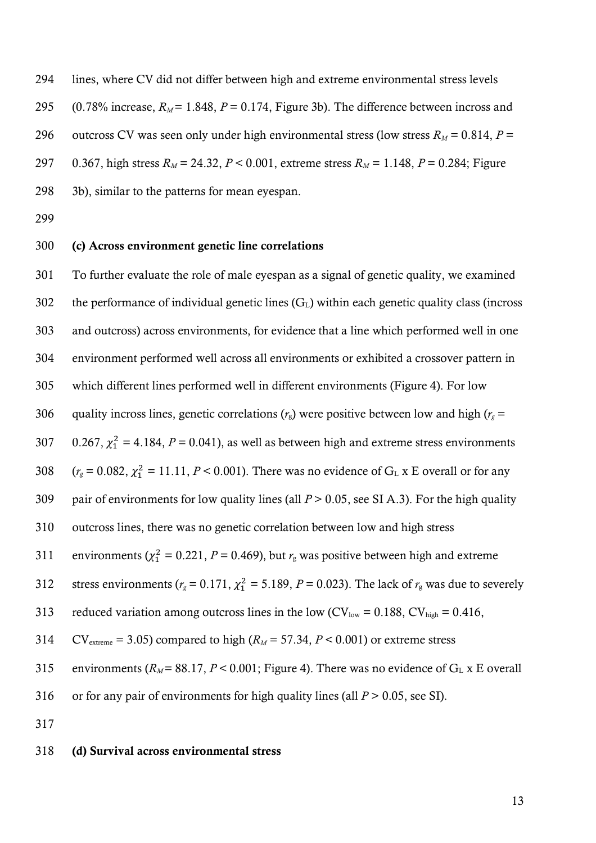294 lines, where CV did not differ between high and extreme environmental stress levels 295 (0.78% increase,  $R_M$  = 1.848,  $P = 0.174$ , Figure 3b). The difference between incross and 296 outcross CV was seen only under high environmental stress (low stress  $R_M = 0.814$ ,  $P =$ 297 0.367, high stress  $R_M = 24.32$ ,  $P < 0.001$ , extreme stress  $R_M = 1.148$ ,  $P = 0.284$ ; Figure 298 3b), similar to the patterns for mean eyespan.

299

### 300 (c) Across environment genetic line correlations

301 To further evaluate the role of male eyespan as a signal of genetic quality, we examined 302 the performance of individual genetic lines  $(G<sub>L</sub>)$  within each genetic quality class (incross 303 and outcross) across environments, for evidence that a line which performed well in one 304 environment performed well across all environments or exhibited a crossover pattern in 305 which different lines performed well in different environments (Figure 4). For low 306 quality incross lines, genetic correlations  $(r_g)$  were positive between low and high  $(r_g =$ 307  $0.267$ ,  $\chi_1^2 = 4.184$ ,  $P = 0.041$ ), as well as between high and extreme stress environments 308  $(r<sub>g</sub> = 0.082, \chi<sub>1</sub><sup>2</sup> = 11.11, P < 0.001)$ . There was no evidence of G<sub>L</sub> x E overall or for any 309 pair of environments for low quality lines (all *P* > 0.05, see SI A.3). For the high quality 310 outcross lines, there was no genetic correlation between low and high stress 311 – environments ( $\chi^2$  = 0.221, *P* = 0.469), but  $r_g$  was positive between high and extreme 312 stress environments ( $r_g$  = 0.171,  $\chi_1^2$  = 5.189, *P* = 0.023). The lack of  $r_g$  was due to severely 313 reduced variation among outcross lines in the low  $(CV_{low} = 0.188, CV_{high} = 0.416,$ 314 CV<sub>extreme</sub> = 3.05) compared to high  $(R_M = 57.34, P < 0.001)$  or extreme stress 315 environments ( $R_M$  = 88.17,  $P$  < 0.001; Figure 4). There was no evidence of  $G_L$  x E overall 316 or for any pair of environments for high quality lines (all *P* > 0.05, see SI). 317

#### 318 (d) Survival across environmental stress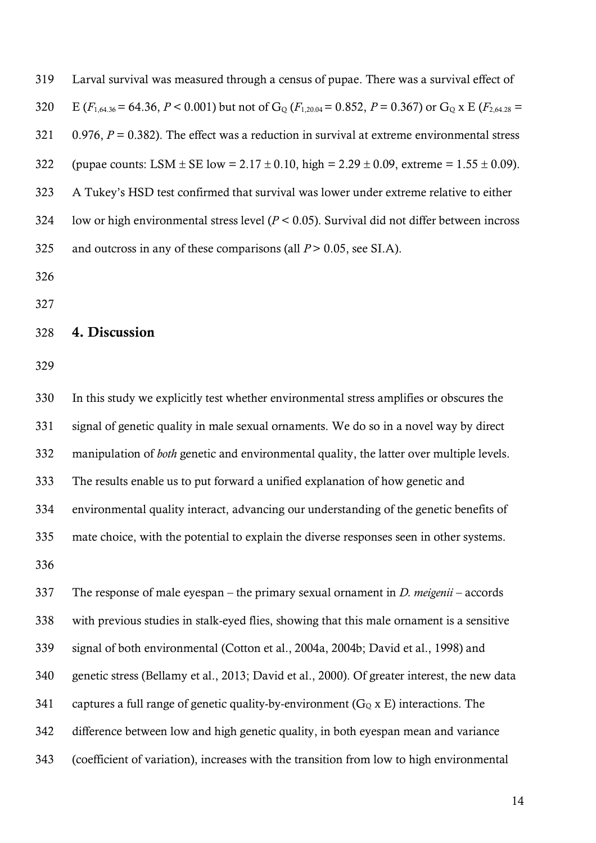| 319 | Larval survival was measured through a census of pupae. There was a survival effect of                                                      |
|-----|---------------------------------------------------------------------------------------------------------------------------------------------|
| 320 | E ( $F_{1,64,36}$ = 64.36, P < 0.001) but not of G <sub>o</sub> ( $F_{1,20,04}$ = 0.852, P = 0.367) or G <sub>o</sub> x E ( $F_{2,64,28}$ = |
| 321 | 0.976, $P = 0.382$ ). The effect was a reduction in survival at extreme environmental stress                                                |
| 322 | (pupae counts: LSM $\pm$ SE low = 2.17 $\pm$ 0.10, high = 2.29 $\pm$ 0.09, extreme = 1.55 $\pm$ 0.09).                                      |
| 323 | A Tukey's HSD test confirmed that survival was lower under extreme relative to either                                                       |
| 324 | low or high environmental stress level ( $P < 0.05$ ). Survival did not differ between incross                                              |
| 325 | and outcross in any of these comparisons (all $P > 0.05$ , see SI.A).                                                                       |
|     |                                                                                                                                             |

### 4. Discussion

 In this study we explicitly test whether environmental stress amplifies or obscures the signal of genetic quality in male sexual ornaments. We do so in a novel way by direct manipulation of *both* genetic and environmental quality, the latter over multiple levels. The results enable us to put forward a unified explanation of how genetic and environmental quality interact, advancing our understanding of the genetic benefits of mate choice, with the potential to explain the diverse responses seen in other systems. 

 The response of male eyespan – the primary sexual ornament in *D. meigenii* – accords with previous studies in stalk-eyed flies, showing that this male ornament is a sensitive signal of both environmental (Cotton et al., 2004a, 2004b; David et al., 1998) and genetic stress (Bellamy et al., 2013; David et al., 2000). Of greater interest, the new data 341 captures a full range of genetic quality-by-environment ( $G<sub>Q</sub>$  x E) interactions. The difference between low and high genetic quality, in both eyespan mean and variance (coefficient of variation), increases with the transition from low to high environmental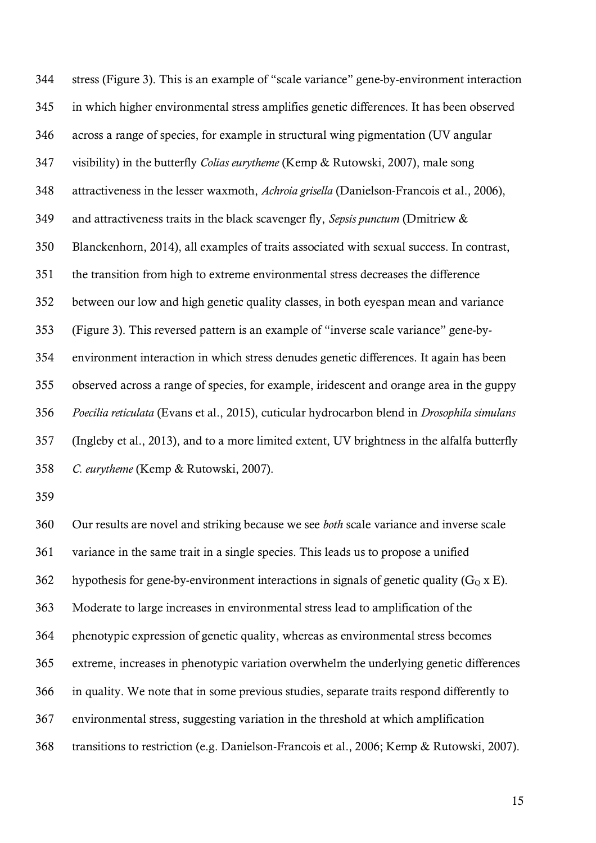stress (Figure 3). This is an example of "scale variance" gene-by-environment interaction in which higher environmental stress amplifies genetic differences. It has been observed across a range of species, for example in structural wing pigmentation (UV angular visibility) in the butterfly *Colias eurytheme* (Kemp & Rutowski, 2007), male song attractiveness in the lesser waxmoth, *Achroia grisella* (Danielson-Francois et al., 2006), and attractiveness traits in the black scavenger fly, *Sepsis punctum* (Dmitriew & Blanckenhorn, 2014), all examples of traits associated with sexual success. In contrast, the transition from high to extreme environmental stress decreases the difference between our low and high genetic quality classes, in both eyespan mean and variance (Figure 3). This reversed pattern is an example of "inverse scale variance" gene-by- environment interaction in which stress denudes genetic differences. It again has been observed across a range of species, for example, iridescent and orange area in the guppy *Poecilia reticulata* (Evans et al., 2015), cuticular hydrocarbon blend in *Drosophila simulans*  (Ingleby et al., 2013), and to a more limited extent, UV brightness in the alfalfa butterfly *C. eurytheme* (Kemp & Rutowski, 2007).

 Our results are novel and striking because we see *both* scale variance and inverse scale variance in the same trait in a single species. This leads us to propose a unified 362 hypothesis for gene-by-environment interactions in signals of genetic quality  $(G_0 \times E)$ . Moderate to large increases in environmental stress lead to amplification of the phenotypic expression of genetic quality, whereas as environmental stress becomes extreme, increases in phenotypic variation overwhelm the underlying genetic differences in quality. We note that in some previous studies, separate traits respond differently to environmental stress, suggesting variation in the threshold at which amplification transitions to restriction (e.g. Danielson-Francois et al., 2006; Kemp & Rutowski, 2007).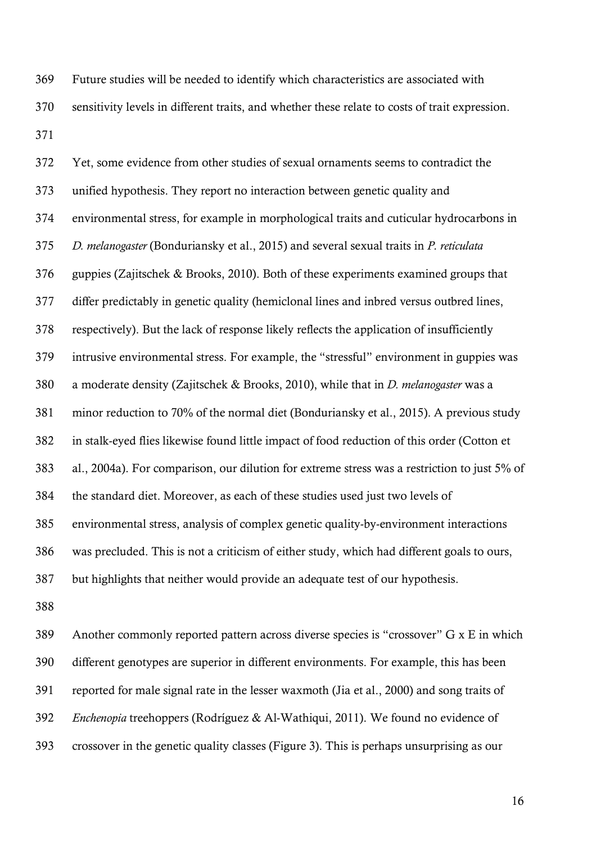Future studies will be needed to identify which characteristics are associated with sensitivity levels in different traits, and whether these relate to costs of trait expression. 

 Yet, some evidence from other studies of sexual ornaments seems to contradict the unified hypothesis. They report no interaction between genetic quality and environmental stress, for example in morphological traits and cuticular hydrocarbons in *D. melanogaster* (Bonduriansky et al., 2015) and several sexual traits in *P. reticulata* guppies (Zajitschek & Brooks, 2010). Both of these experiments examined groups that differ predictably in genetic quality (hemiclonal lines and inbred versus outbred lines, respectively). But the lack of response likely reflects the application of insufficiently intrusive environmental stress. For example, the "stressful" environment in guppies was a moderate density (Zajitschek & Brooks, 2010), while that in *D. melanogaster* was a minor reduction to 70% of the normal diet (Bonduriansky et al., 2015). A previous study in stalk-eyed flies likewise found little impact of food reduction of this order (Cotton et al., 2004a). For comparison, our dilution for extreme stress was a restriction to just 5% of the standard diet. Moreover, as each of these studies used just two levels of environmental stress, analysis of complex genetic quality-by-environment interactions was precluded. This is not a criticism of either study, which had different goals to ours, but highlights that neither would provide an adequate test of our hypothesis.

 Another commonly reported pattern across diverse species is "crossover" G x E in which different genotypes are superior in different environments. For example, this has been reported for male signal rate in the lesser waxmoth (Jia et al., 2000) and song traits of *Enchenopia* treehoppers (Rodríguez & Al-Wathiqui, 2011). We found no evidence of crossover in the genetic quality classes (Figure 3). This is perhaps unsurprising as our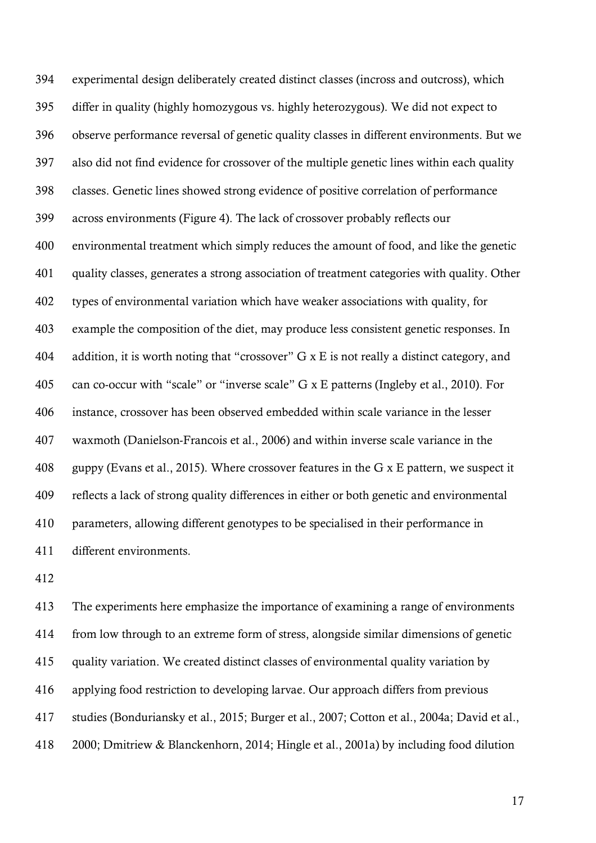experimental design deliberately created distinct classes (incross and outcross), which differ in quality (highly homozygous vs. highly heterozygous). We did not expect to observe performance reversal of genetic quality classes in different environments. But we also did not find evidence for crossover of the multiple genetic lines within each quality classes. Genetic lines showed strong evidence of positive correlation of performance across environments (Figure 4). The lack of crossover probably reflects our environmental treatment which simply reduces the amount of food, and like the genetic quality classes, generates a strong association of treatment categories with quality. Other types of environmental variation which have weaker associations with quality, for example the composition of the diet, may produce less consistent genetic responses. In addition, it is worth noting that "crossover" G x E is not really a distinct category, and can co-occur with "scale" or "inverse scale" G x E patterns (Ingleby et al., 2010). For instance, crossover has been observed embedded within scale variance in the lesser waxmoth (Danielson-Francois et al., 2006) and within inverse scale variance in the guppy (Evans et al., 2015). Where crossover features in the G x E pattern, we suspect it reflects a lack of strong quality differences in either or both genetic and environmental parameters, allowing different genotypes to be specialised in their performance in different environments.

 The experiments here emphasize the importance of examining a range of environments from low through to an extreme form of stress, alongside similar dimensions of genetic quality variation. We created distinct classes of environmental quality variation by applying food restriction to developing larvae. Our approach differs from previous studies (Bonduriansky et al., 2015; Burger et al., 2007; Cotton et al., 2004a; David et al., 2000; Dmitriew & Blanckenhorn, 2014; Hingle et al., 2001a) by including food dilution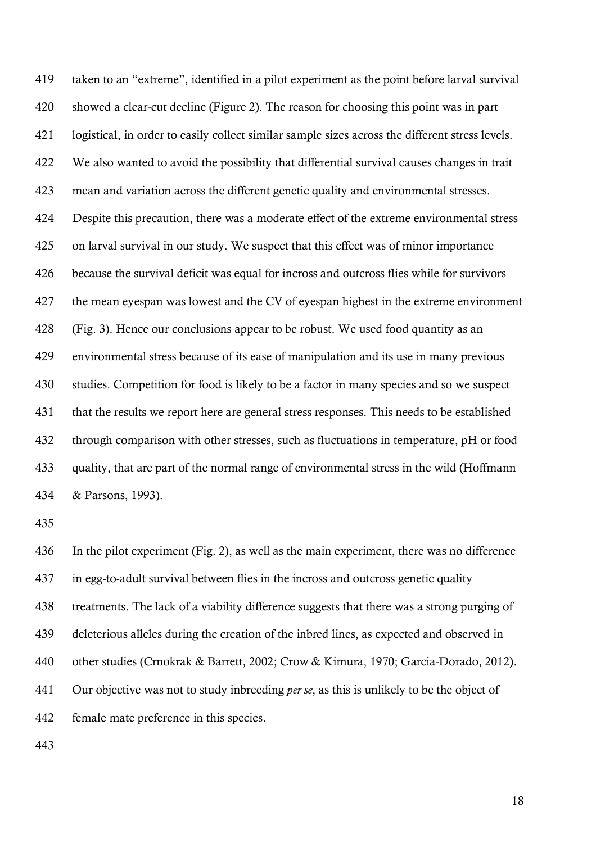taken to an "extreme", identified in a pilot experiment as the point before larval survival showed a clear-cut decline (Figure 2). The reason for choosing this point was in part logistical, in order to easily collect similar sample sizes across the different stress levels. We also wanted to avoid the possibility that differential survival causes changes in trait mean and variation across the different genetic quality and environmental stresses. Despite this precaution, there was a moderate effect of the extreme environmental stress on larval survival in our study. We suspect that this effect was of minor importance because the survival deficit was equal for incross and outcross flies while for survivors the mean eyespan was lowest and the CV of eyespan highest in the extreme environment (Fig. 3). Hence our conclusions appear to be robust. We used food quantity as an environmental stress because of its ease of manipulation and its use in many previous studies. Competition for food is likely to be a factor in many species and so we suspect that the results we report here are general stress responses. This needs to be established through comparison with other stresses, such as fluctuations in temperature, pH or food quality, that are part of the normal range of environmental stress in the wild (Hoffmann & Parsons, 1993).

 In the pilot experiment (Fig. 2), as well as the main experiment, there was no difference in egg-to-adult survival between flies in the incross and outcross genetic quality treatments. The lack of a viability difference suggests that there was a strong purging of deleterious alleles during the creation of the inbred lines, as expected and observed in other studies (Crnokrak & Barrett, 2002; Crow & Kimura, 1970; Garcia-Dorado, 2012). Our objective was not to study inbreeding *per se*, as this is unlikely to be the object of female mate preference in this species.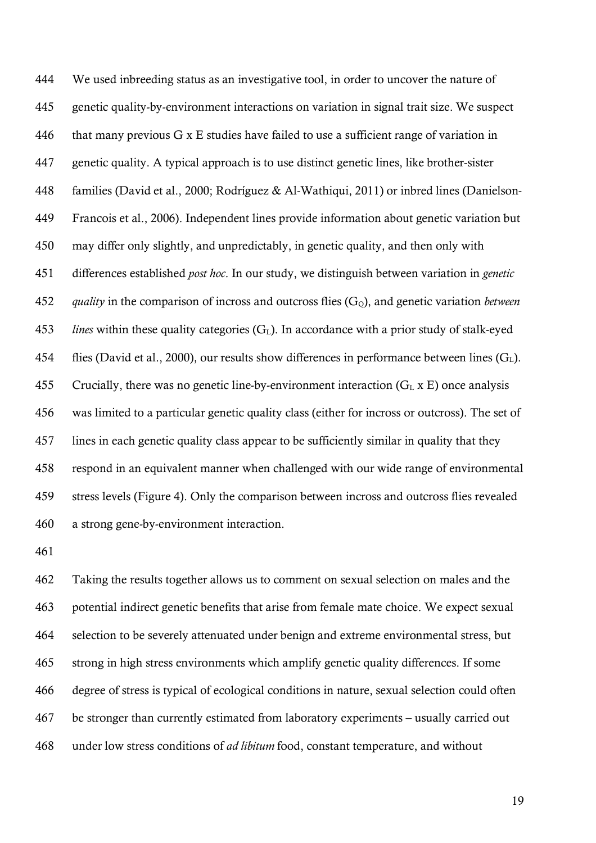We used inbreeding status as an investigative tool, in order to uncover the nature of genetic quality-by-environment interactions on variation in signal trait size. We suspect 446 that many previous  $G \times E$  studies have failed to use a sufficient range of variation in genetic quality. A typical approach is to use distinct genetic lines, like brother-sister families (David et al., 2000; Rodríguez & Al-Wathiqui, 2011) or inbred lines (Danielson- Francois et al., 2006). Independent lines provide information about genetic variation but may differ only slightly, and unpredictably, in genetic quality, and then only with differences established *post hoc*. In our study, we distinguish between variation in *genetic quality* in the comparison of incross and outcross flies (GQ), and genetic variation *between lines* within these quality categories  $(G<sub>L</sub>)$ . In accordance with a prior study of stalk-eyed 454 flies (David et al., 2000), our results show differences in performance between lines  $(G<sub>L</sub>)$ . 455 Crucially, there was no genetic line-by-environment interaction  $(G<sub>L</sub> x E)$  once analysis was limited to a particular genetic quality class (either for incross or outcross). The set of lines in each genetic quality class appear to be sufficiently similar in quality that they respond in an equivalent manner when challenged with our wide range of environmental stress levels (Figure 4). Only the comparison between incross and outcross flies revealed a strong gene-by-environment interaction.

 Taking the results together allows us to comment on sexual selection on males and the potential indirect genetic benefits that arise from female mate choice. We expect sexual selection to be severely attenuated under benign and extreme environmental stress, but strong in high stress environments which amplify genetic quality differences. If some degree of stress is typical of ecological conditions in nature, sexual selection could often be stronger than currently estimated from laboratory experiments – usually carried out under low stress conditions of *ad libitum* food, constant temperature, and without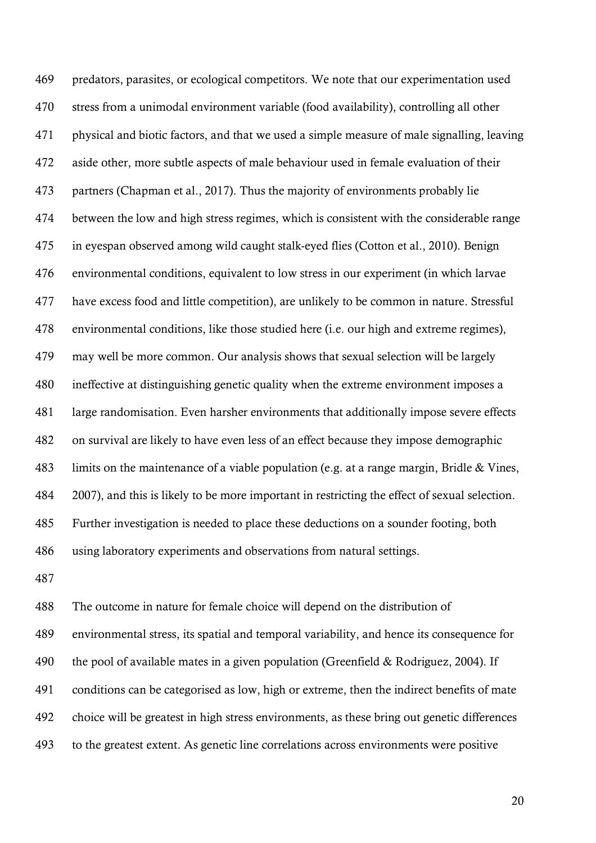predators, parasites, or ecological competitors. We note that our experimentation used stress from a unimodal environment variable (food availability), controlling all other physical and biotic factors, and that we used a simple measure of male signalling, leaving aside other, more subtle aspects of male behaviour used in female evaluation of their partners (Chapman et al., 2017). Thus the majority of environments probably lie between the low and high stress regimes, which is consistent with the considerable range in eyespan observed among wild caught stalk-eyed flies (Cotton et al., 2010). Benign environmental conditions, equivalent to low stress in our experiment (in which larvae have excess food and little competition), are unlikely to be common in nature. Stressful environmental conditions, like those studied here (i.e. our high and extreme regimes), may well be more common. Our analysis shows that sexual selection will be largely ineffective at distinguishing genetic quality when the extreme environment imposes a large randomisation. Even harsher environments that additionally impose severe effects on survival are likely to have even less of an effect because they impose demographic limits on the maintenance of a viable population (e.g. at a range margin, Bridle & Vines, 2007), and this is likely to be more important in restricting the effect of sexual selection. Further investigation is needed to place these deductions on a sounder footing, both using laboratory experiments and observations from natural settings.

 The outcome in nature for female choice will depend on the distribution of environmental stress, its spatial and temporal variability, and hence its consequence for the pool of available mates in a given population (Greenfield & Rodriguez, 2004). If conditions can be categorised as low, high or extreme, then the indirect benefits of mate choice will be greatest in high stress environments, as these bring out genetic differences to the greatest extent. As genetic line correlations across environments were positive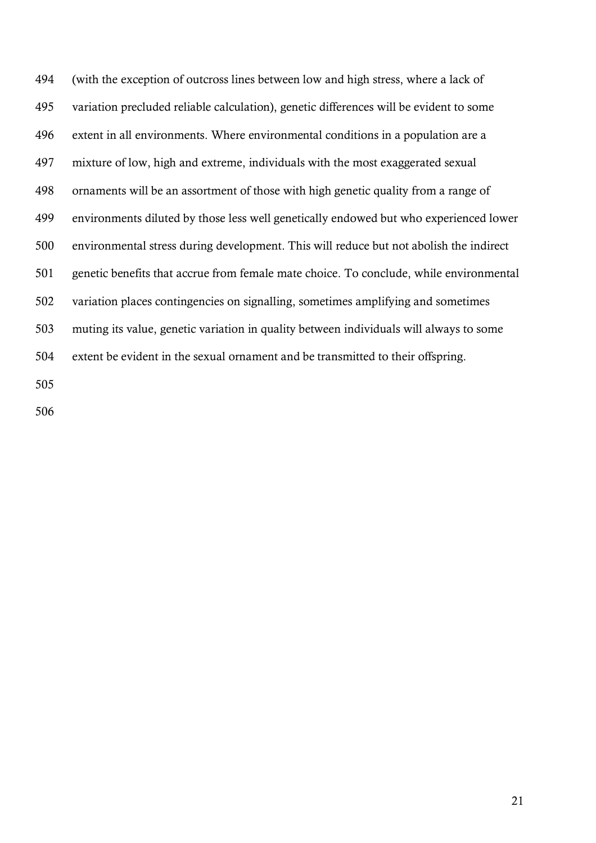(with the exception of outcross lines between low and high stress, where a lack of variation precluded reliable calculation), genetic differences will be evident to some extent in all environments. Where environmental conditions in a population are a mixture of low, high and extreme, individuals with the most exaggerated sexual ornaments will be an assortment of those with high genetic quality from a range of environments diluted by those less well genetically endowed but who experienced lower environmental stress during development. This will reduce but not abolish the indirect genetic benefits that accrue from female mate choice. To conclude, while environmental variation places contingencies on signalling, sometimes amplifying and sometimes muting its value, genetic variation in quality between individuals will always to some extent be evident in the sexual ornament and be transmitted to their offspring.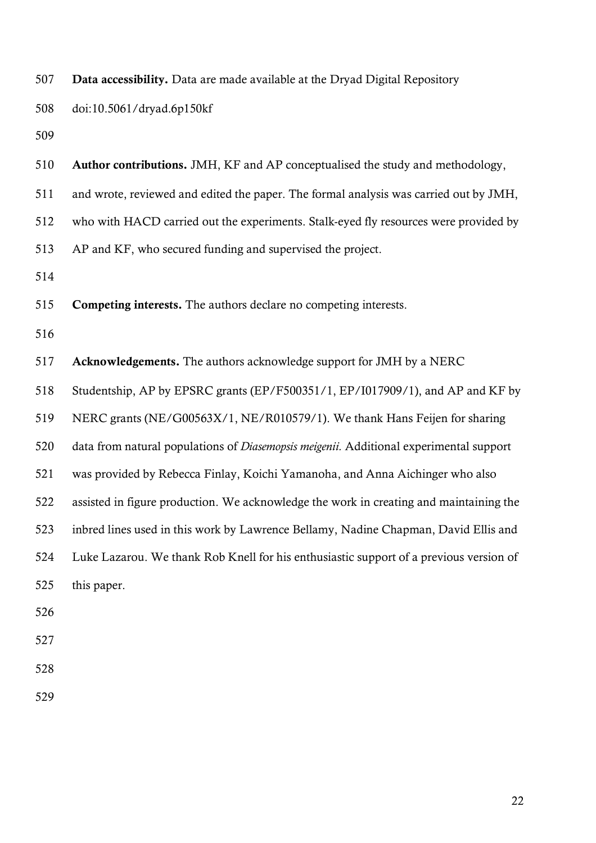| 507 | Data accessibility. Data are made available at the Dryad Digital Repository            |
|-----|----------------------------------------------------------------------------------------|
| 508 | doi:10.5061/dryad.6p150kf                                                              |
| 509 |                                                                                        |
| 510 | <b>Author contributions.</b> JMH, KF and AP conceptualised the study and methodology,  |
| 511 | and wrote, reviewed and edited the paper. The formal analysis was carried out by JMH,  |
| 512 | who with HACD carried out the experiments. Stalk-eyed fly resources were provided by   |
| 513 | AP and KF, who secured funding and supervised the project.                             |
| 514 |                                                                                        |
| 515 | <b>Competing interests.</b> The authors declare no competing interests.                |
| 516 |                                                                                        |
| 517 | <b>Acknowledgements.</b> The authors acknowledge support for JMH by a NERC             |
| 518 | Studentship, AP by EPSRC grants (EP/F500351/1, EP/I017909/1), and AP and KF by         |
| 519 | NERC grants (NE/G00563X/1, NE/R010579/1). We thank Hans Feijen for sharing             |
| 520 | data from natural populations of Diasemopsis meigenii. Additional experimental support |
| 521 | was provided by Rebecca Finlay, Koichi Yamanoha, and Anna Aichinger who also           |
| 522 | assisted in figure production. We acknowledge the work in creating and maintaining the |
| 523 | inbred lines used in this work by Lawrence Bellamy, Nadine Chapman, David Ellis and    |
| 524 | Luke Lazarou. We thank Rob Knell for his enthusiastic support of a previous version of |
| 525 | this paper.                                                                            |
| 526 |                                                                                        |
| 527 |                                                                                        |
| 528 |                                                                                        |
|     |                                                                                        |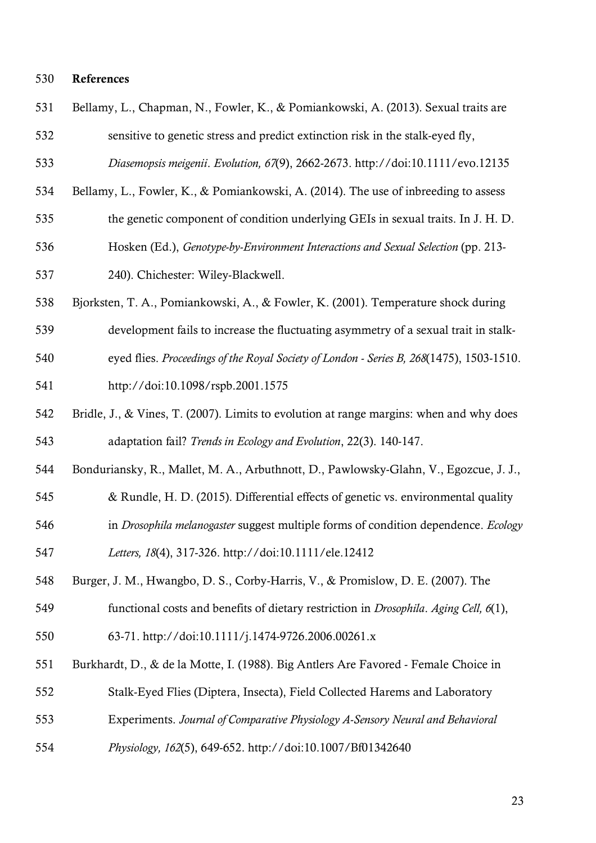#### References

- Bellamy, L., Chapman, N., Fowler, K., & Pomiankowski, A. (2013). Sexual traits are sensitive to genetic stress and predict extinction risk in the stalk-eyed fly,
- *Diasemopsis meigenii*. *Evolution, 67*(9), 2662-2673. http://doi:10.1111/evo.12135
- Bellamy, L., Fowler, K., & Pomiankowski, A. (2014). The use of inbreeding to assess
- the genetic component of condition underlying GEIs in sexual traits. In J. H. D.
- Hosken (Ed.), *Genotype-by-Environment Interactions and Sexual Selection* (pp. 213-
- 240). Chichester: Wiley-Blackwell.
- Bjorksten, T. A., Pomiankowski, A., & Fowler, K. (2001). Temperature shock during
- development fails to increase the fluctuating asymmetry of a sexual trait in stalk-
- eyed flies. *Proceedings of the Royal Society of London - Series B, 268*(1475), 1503-1510.
- http://doi:10.1098/rspb.2001.1575
- Bridle, J., & Vines, T. (2007). Limits to evolution at range margins: when and why does adaptation fail? *Trends in Ecology and Evolution*, 22(3). 140-147.
- Bonduriansky, R., Mallet, M. A., Arbuthnott, D., Pawlowsky-Glahn, V., Egozcue, J. J.,
- & Rundle, H. D. (2015). Differential effects of genetic vs. environmental quality
- in *Drosophila melanogaster* suggest multiple forms of condition dependence. *Ecology*
- *Letters, 18*(4), 317-326. http://doi:10.1111/ele.12412
- Burger, J. M., Hwangbo, D. S., Corby-Harris, V., & Promislow, D. E. (2007). The
- functional costs and benefits of dietary restriction in *Drosophila*. *Aging Cell, 6*(1),
- 63-71. http://doi:10.1111/j.1474-9726.2006.00261.x
- Burkhardt, D., & de la Motte, I. (1988). Big Antlers Are Favored Female Choice in
- Stalk-Eyed Flies (Diptera, Insecta), Field Collected Harems and Laboratory
- Experiments. *Journal of Comparative Physiology A-Sensory Neural and Behavioral*
- *Physiology, 162*(5), 649-652. http://doi:10.1007/Bf01342640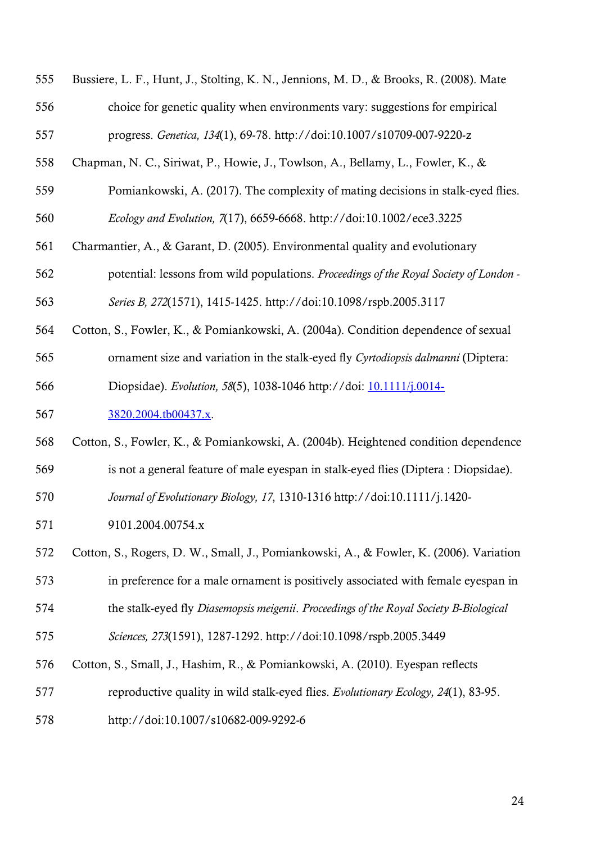| 555 | Bussiere, L. F., Hunt, J., Stolting, K. N., Jennions, M. D., & Brooks, R. (2008). Mate |
|-----|----------------------------------------------------------------------------------------|
| 556 | choice for genetic quality when environments vary: suggestions for empirical           |
| 557 | progress. Genetica, 134(1), 69-78. http://doi:10.1007/s10709-007-9220-z                |
| 558 | Chapman, N. C., Siriwat, P., Howie, J., Towlson, A., Bellamy, L., Fowler, K., &        |
| 559 | Pomiankowski, A. (2017). The complexity of mating decisions in stalk-eyed flies.       |
| 560 | Ecology and Evolution, 7(17), 6659-6668. http://doi:10.1002/ece3.3225                  |
| 561 | Charmantier, A., & Garant, D. (2005). Environmental quality and evolutionary           |
| 562 | potential: lessons from wild populations. Proceedings of the Royal Society of London - |
| 563 | Series B, 272(1571), 1415-1425. http://doi:10.1098/rspb.2005.3117                      |
| 564 | Cotton, S., Fowler, K., & Pomiankowski, A. (2004a). Condition dependence of sexual     |
| 565 | ornament size and variation in the stalk-eyed fly Cyrtodiopsis dalmanni (Diptera:      |
| 566 | Diopsidae). Evolution, 58(5), 1038-1046 http://doi: 10.1111/j.0014-                    |
| 567 | 3820.2004.tb00437.x.                                                                   |
| 568 | Cotton, S., Fowler, K., & Pomiankowski, A. (2004b). Heightened condition dependence    |
| 569 | is not a general feature of male eyespan in stalk-eyed flies (Diptera : Diopsidae).    |
| 570 | Journal of Evolutionary Biology, 17, 1310-1316 http://doi:10.1111/j.1420-              |
| 571 | 9101.2004.00754.x                                                                      |
| 572 | Cotton, S., Rogers, D. W., Small, J., Pomiankowski, A., & Fowler, K. (2006). Variation |
| 573 | in preference for a male ornament is positively associated with female eyespan in      |
| 574 | the stalk-eyed fly Diasemopsis meigenii. Proceedings of the Royal Society B-Biological |
| 575 | Sciences, 273(1591), 1287-1292. http://doi:10.1098/rspb.2005.3449                      |
| 576 | Cotton, S., Small, J., Hashim, R., & Pomiankowski, A. (2010). Eyespan reflects         |
| 577 | reproductive quality in wild stalk-eyed flies. Evolutionary Ecology, 24(1), 83-95.     |
| 578 | http://doi:10.1007/s10682-009-9292-6                                                   |
|     |                                                                                        |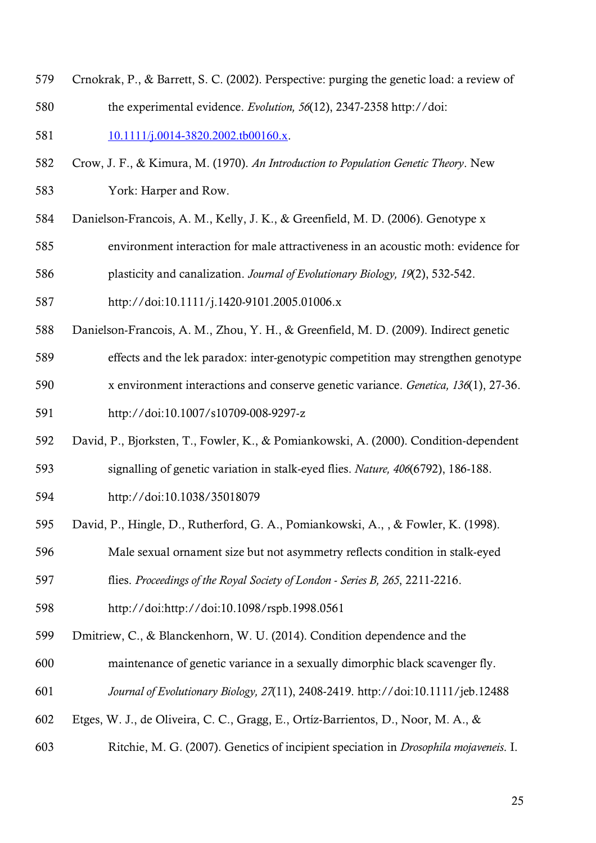Crnokrak, P., & Barrett, S. C. (2002). Perspective: purging the genetic load: a review of the experimental evidence. *Evolution, 56*(12), 2347-2358 http://doi:

581 10.1111/j.0014-3820.2002.tb00160.x.

- Crow, J. F., & Kimura, M. (1970). *An Introduction to Population Genetic Theory*. New York: Harper and Row.
- Danielson-Francois, A. M., Kelly, J. K., & Greenfield, M. D. (2006). Genotype x
- environment interaction for male attractiveness in an acoustic moth: evidence for
- plasticity and canalization. *Journal of Evolutionary Biology, 19*(2), 532-542.
- http://doi:10.1111/j.1420-9101.2005.01006.x
- Danielson-Francois, A. M., Zhou, Y. H., & Greenfield, M. D. (2009). Indirect genetic
- effects and the lek paradox: inter-genotypic competition may strengthen genotype
- x environment interactions and conserve genetic variance. *Genetica, 136*(1), 27-36.

http://doi:10.1007/s10709-008-9297-z

- David, P., Bjorksten, T., Fowler, K., & Pomiankowski, A. (2000). Condition-dependent
- signalling of genetic variation in stalk-eyed flies. *Nature, 406*(6792), 186-188.
- http://doi:10.1038/35018079
- David, P., Hingle, D., Rutherford, G. A., Pomiankowski, A., , & Fowler, K. (1998).
- Male sexual ornament size but not asymmetry reflects condition in stalk-eyed
- flies. *Proceedings of the Royal Society of London - Series B, 265*, 2211-2216.
- http://doi:http://doi:10.1098/rspb.1998.0561
- Dmitriew, C., & Blanckenhorn, W. U. (2014). Condition dependence and the
- maintenance of genetic variance in a sexually dimorphic black scavenger fly.
- *Journal of Evolutionary Biology, 27*(11), 2408-2419. http://doi:10.1111/jeb.12488
- Etges, W. J., de Oliveira, C. C., Gragg, E., Ortíz-Barrientos, D., Noor, M. A., &
- Ritchie, M. G. (2007). Genetics of incipient speciation in *Drosophila mojaveneis*. I.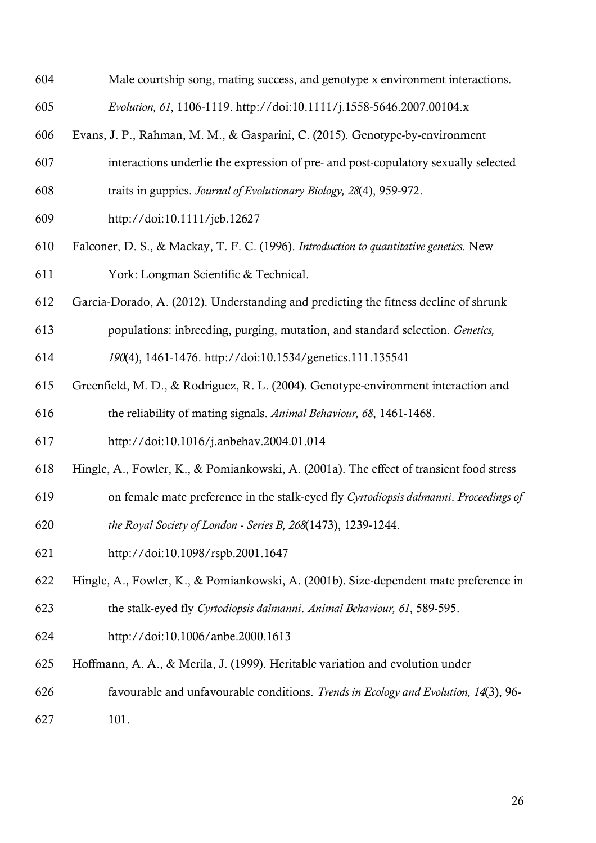| 604 | Male courtship song, mating success, and genotype x environment interactions.           |
|-----|-----------------------------------------------------------------------------------------|
| 605 | Evolution, 61, 1106-1119. http://doi:10.1111/j.1558-5646.2007.00104.x                   |
| 606 | Evans, J. P., Rahman, M. M., & Gasparini, C. (2015). Genotype-by-environment            |
| 607 | interactions underlie the expression of pre- and post-copulatory sexually selected      |
| 608 | traits in guppies. Journal of Evolutionary Biology, 28(4), 959-972.                     |
| 609 | http://doi:10.1111/jeb.12627                                                            |
| 610 | Falconer, D. S., & Mackay, T. F. C. (1996). Introduction to quantitative genetics. New  |
| 611 | York: Longman Scientific & Technical.                                                   |
| 612 | Garcia-Dorado, A. (2012). Understanding and predicting the fitness decline of shrunk    |
| 613 | populations: inbreeding, purging, mutation, and standard selection. Genetics,           |
| 614 | 190(4), 1461-1476. http://doi:10.1534/genetics.111.135541                               |
| 615 | Greenfield, M. D., & Rodriguez, R. L. (2004). Genotype-environment interaction and      |
| 616 | the reliability of mating signals. Animal Behaviour, 68, 1461-1468.                     |
| 617 | http://doi:10.1016/j.anbehav.2004.01.014                                                |
| 618 | Hingle, A., Fowler, K., & Pomiankowski, A. (2001a). The effect of transient food stress |
| 619 | on female mate preference in the stalk-eyed fly Cyrtodiopsis dalmanni. Proceedings of   |
| 620 | the Royal Society of London - Series B, 268(1473), 1239-1244.                           |
| 621 | http://doi:10.1098/rspb.2001.1647                                                       |
| 622 | Hingle, A., Fowler, K., & Pomiankowski, A. (2001b). Size-dependent mate preference in   |
| 623 | the stalk-eyed fly Cyrtodiopsis dalmanni. Animal Behaviour, 61, 589-595.                |
| 624 | http://doi:10.1006/anbe.2000.1613                                                       |
| 625 | Hoffmann, A. A., & Merila, J. (1999). Heritable variation and evolution under           |
| 626 | favourable and unfavourable conditions. Trends in Ecology and Evolution, 14(3), 96-     |
| 627 | 101.                                                                                    |
|     |                                                                                         |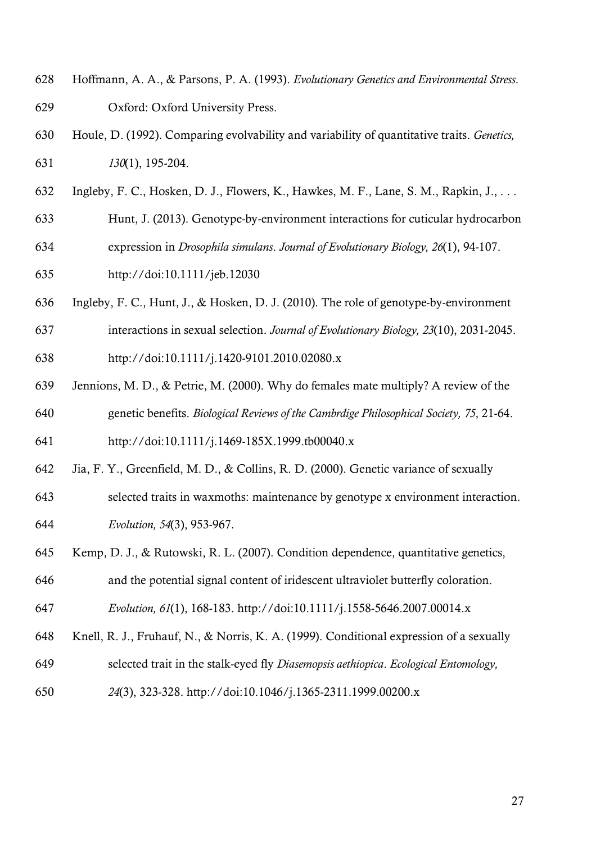- Hoffmann, A. A., & Parsons, P. A. (1993). *Evolutionary Genetics and Environmental Stress*. Oxford: Oxford University Press.
- Houle, D. (1992). Comparing evolvability and variability of quantitative traits. *Genetics, 130*(1), 195-204.
- Ingleby, F. C., Hosken, D. J., Flowers, K., Hawkes, M. F., Lane, S. M., Rapkin, J., . . .
- Hunt, J. (2013). Genotype-by-environment interactions for cuticular hydrocarbon
- expression in *Drosophila simulans*. *Journal of Evolutionary Biology, 26*(1), 94-107.
- http://doi:10.1111/jeb.12030
- Ingleby, F. C., Hunt, J., & Hosken, D. J. (2010). The role of genotype-by-environment
- interactions in sexual selection. *Journal of Evolutionary Biology, 23*(10), 2031-2045. http://doi:10.1111/j.1420-9101.2010.02080.x
- Jennions, M. D., & Petrie, M. (2000). Why do females mate multiply? A review of the genetic benefits. *Biological Reviews of the Cambrdige Philosophical Society, 75*, 21-64.
- http://doi:10.1111/j.1469-185X.1999.tb00040.x
- Jia, F. Y., Greenfield, M. D., & Collins, R. D. (2000). Genetic variance of sexually
- selected traits in waxmoths: maintenance by genotype x environment interaction. *Evolution, 54*(3), 953-967.
- Kemp, D. J., & Rutowski, R. L. (2007). Condition dependence, quantitative genetics,
- and the potential signal content of iridescent ultraviolet butterfly coloration.
- *Evolution, 61*(1), 168-183. http://doi:10.1111/j.1558-5646.2007.00014.x
- Knell, R. J., Fruhauf, N., & Norris, K. A. (1999). Conditional expression of a sexually
- selected trait in the stalk-eyed fly *Diasemopsis aethiopica*. *Ecological Entomology,*
- *24*(3), 323-328. http://doi:10.1046/j.1365-2311.1999.00200.x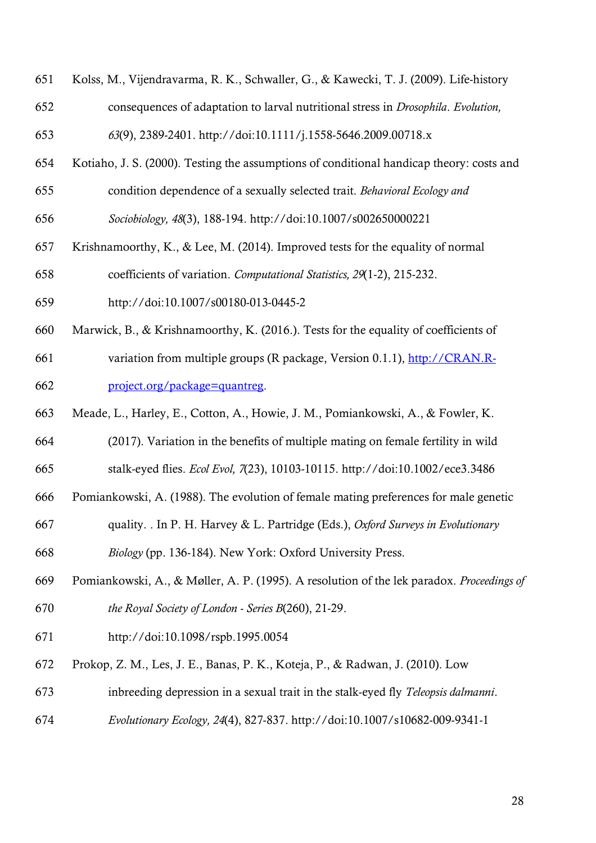- Kolss, M., Vijendravarma, R. K., Schwaller, G., & Kawecki, T. J. (2009). Life-history
- consequences of adaptation to larval nutritional stress in *Drosophila*. *Evolution,*

*63*(9), 2389-2401. http://doi:10.1111/j.1558-5646.2009.00718.x

- Kotiaho, J. S. (2000). Testing the assumptions of conditional handicap theory: costs and
- condition dependence of a sexually selected trait. *Behavioral Ecology and*

*Sociobiology, 48*(3), 188-194. http://doi:10.1007/s002650000221

- Krishnamoorthy, K., & Lee, M. (2014). Improved tests for the equality of normal coefficients of variation. *Computational Statistics, 29*(1-2), 215-232.
- http://doi:10.1007/s00180-013-0445-2
- Marwick, B., & Krishnamoorthy, K. (2016.). Tests for the equality of coefficients of
- variation from multiple groups (R package, Version 0.1.1), http://CRAN.R-project.org/package=quantreg.
- Meade, L., Harley, E., Cotton, A., Howie, J. M., Pomiankowski, A., & Fowler, K.
- (2017). Variation in the benefits of multiple mating on female fertility in wild stalk-eyed flies. *Ecol Evol, 7*(23), 10103-10115. http://doi:10.1002/ece3.3486
- Pomiankowski, A. (1988). The evolution of female mating preferences for male genetic
- quality. . In P. H. Harvey & L. Partridge (Eds.), *Oxford Surveys in Evolutionary*
- *Biology* (pp. 136-184). New York: Oxford University Press.
- Pomiankowski, A., & Møller, A. P. (1995). A resolution of the lek paradox. *Proceedings of the Royal Society of London - Series B*(260), 21-29.
- http://doi:10.1098/rspb.1995.0054
- Prokop, Z. M., Les, J. E., Banas, P. K., Koteja, P., & Radwan, J. (2010). Low
- inbreeding depression in a sexual trait in the stalk-eyed fly *Teleopsis dalmanni*.
- *Evolutionary Ecology, 24*(4), 827-837. http://doi:10.1007/s10682-009-9341-1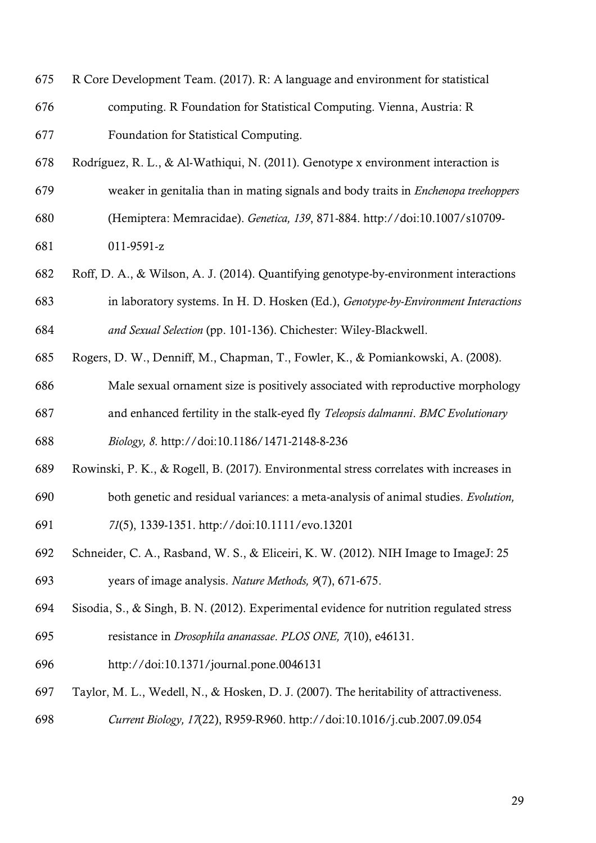- R Core Development Team. (2017). R: A language and environment for statistical computing. R Foundation for Statistical Computing. Vienna, Austria: R
- Foundation for Statistical Computing.
- Rodríguez, R. L., & Al-Wathiqui, N. (2011). Genotype x environment interaction is
- weaker in genitalia than in mating signals and body traits in *Enchenopa treehoppers*
- (Hemiptera: Memracidae). *Genetica, 139*, 871-884. http://doi:10.1007/s10709-

011-9591-z

- Roff, D. A., & Wilson, A. J. (2014). Quantifying genotype-by-environment interactions
- in laboratory systems. In H. D. Hosken (Ed.), *Genotype-by-Environment Interactions and Sexual Selection* (pp. 101-136). Chichester: Wiley-Blackwell.
- Rogers, D. W., Denniff, M., Chapman, T., Fowler, K., & Pomiankowski, A. (2008).
- Male sexual ornament size is positively associated with reproductive morphology
- and enhanced fertility in the stalk-eyed fly *Teleopsis dalmanni*. *BMC Evolutionary*

*Biology, 8*. http://doi:10.1186/1471-2148-8-236

- Rowinski, P. K., & Rogell, B. (2017). Environmental stress correlates with increases in
- both genetic and residual variances: a meta-analysis of animal studies. *Evolution,*
- *71*(5), 1339-1351. http://doi:10.1111/evo.13201
- Schneider, C. A., Rasband, W. S., & Eliceiri, K. W. (2012). NIH Image to ImageJ: 25 years of image analysis. *Nature Methods, 9*(7), 671-675.
- Sisodia, S., & Singh, B. N. (2012). Experimental evidence for nutrition regulated stress
- resistance in *Drosophila ananassae*. *PLOS ONE, 7*(10), e46131.
- http://doi:10.1371/journal.pone.0046131
- Taylor, M. L., Wedell, N., & Hosken, D. J. (2007). The heritability of attractiveness. *Current Biology, 17*(22), R959-R960. http://doi:10.1016/j.cub.2007.09.054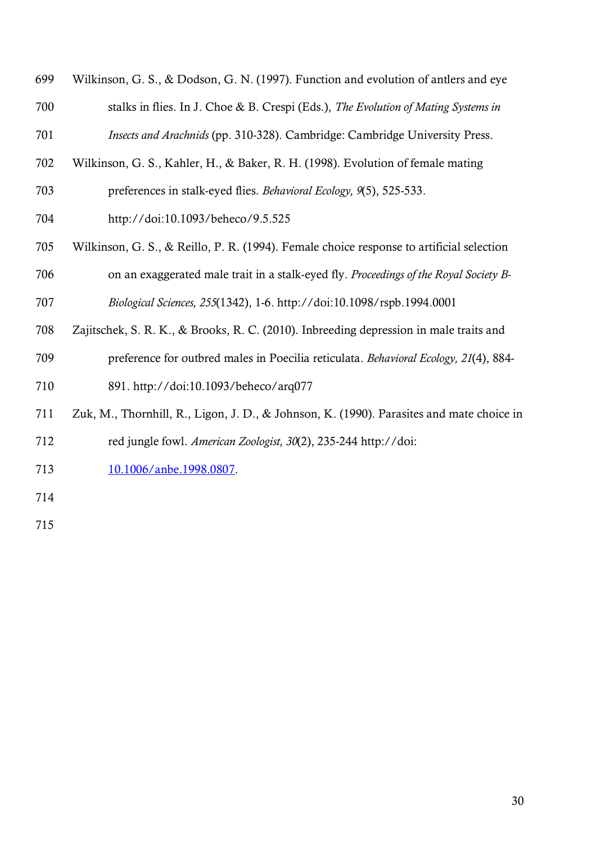- Wilkinson, G. S., & Dodson, G. N. (1997). Function and evolution of antlers and eye stalks in flies. In J. Choe & B. Crespi (Eds.), *The Evolution of Mating Systems in Insects and Arachnids* (pp. 310-328). Cambridge: Cambridge University Press.
- Wilkinson, G. S., Kahler, H., & Baker, R. H. (1998). Evolution of female mating
- preferences in stalk-eyed flies. *Behavioral Ecology, 9*(5), 525-533.
- http://doi:10.1093/beheco/9.5.525
- Wilkinson, G. S., & Reillo, P. R. (1994). Female choice response to artificial selection on an exaggerated male trait in a stalk-eyed fly. *Proceedings of the Royal Society B-*
- *Biological Sciences, 255*(1342), 1-6. http://doi:10.1098/rspb.1994.0001
- Zajitschek, S. R. K., & Brooks, R. C. (2010). Inbreeding depression in male traits and
- preference for outbred males in Poecilia reticulata. *Behavioral Ecology, 21*(4), 884-

891. http://doi:10.1093/beheco/arq077

- Zuk, M., Thornhill, R., Ligon, J. D., & Johnson, K. (1990). Parasites and mate choice in red jungle fowl. *American Zoologist, 30*(2), 235-244 http://doi:
- 713 10.1006/anbe.1998.0807.
- 
-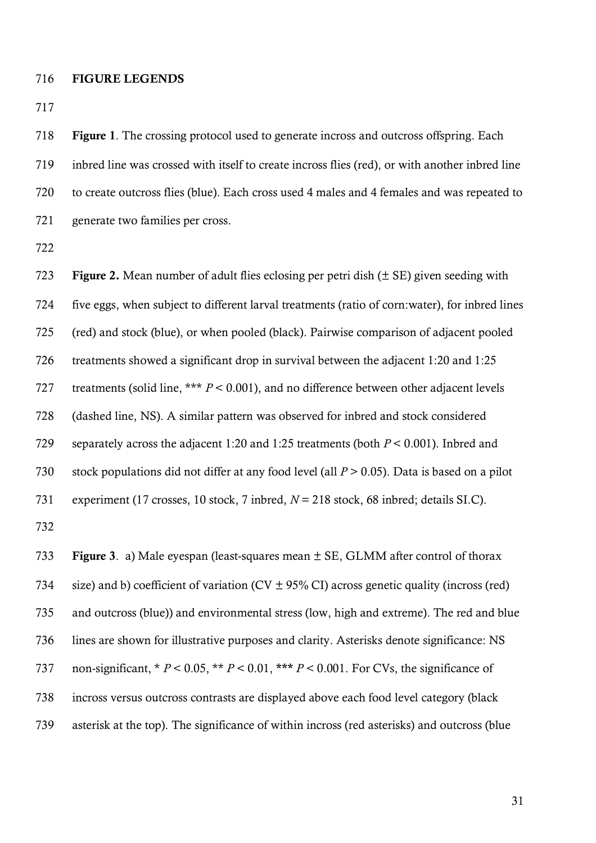#### FIGURE LEGENDS

 Figure 1. The crossing protocol used to generate incross and outcross offspring. Each inbred line was crossed with itself to create incross flies (red), or with another inbred line to create outcross flies (blue). Each cross used 4 males and 4 females and was repeated to generate two families per cross.

723 Figure 2. Mean number of adult flies eclosing per petri dish  $(\pm \text{ SE})$  given seeding with five eggs, when subject to different larval treatments (ratio of corn:water), for inbred lines (red) and stock (blue), or when pooled (black). Pairwise comparison of adjacent pooled treatments showed a significant drop in survival between the adjacent 1:20 and 1:25 727 treatments (solid line, \*\*\* *P* < 0.001), and no difference between other adjacent levels (dashed line, NS). A similar pattern was observed for inbred and stock considered separately across the adjacent 1:20 and 1:25 treatments (both *P* < 0.001). Inbred and stock populations did not differ at any food level (all *P* > 0.05). Data is based on a pilot experiment (17 crosses, 10 stock, 7 inbred, *N* = 218 stock, 68 inbred; details SI.C). 

 Figure 3. a) Male eyespan (least-squares mean ± SE, GLMM after control of thorax 734 size) and b) coefficient of variation (CV  $\pm$  95% CI) across genetic quality (incross (red) and outcross (blue)) and environmental stress (low, high and extreme). The red and blue lines are shown for illustrative purposes and clarity. Asterisks denote significance: NS non-significant, \* *P* < 0.05, \*\* *P* < 0.01, \*\*\* *P* < 0.001. For CVs, the significance of incross versus outcross contrasts are displayed above each food level category (black asterisk at the top). The significance of within incross (red asterisks) and outcross (blue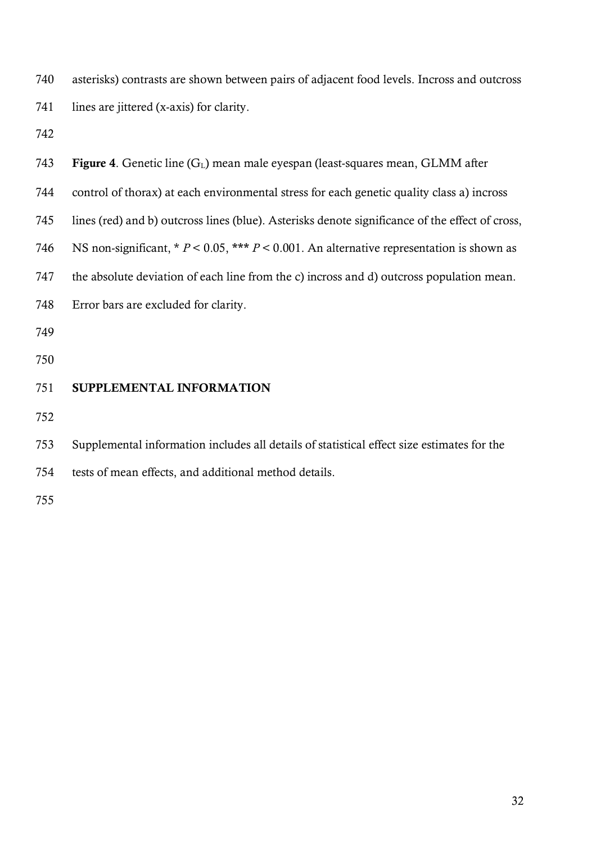asterisks) contrasts are shown between pairs of adjacent food levels. Incross and outcross 741 lines are jittered (x-axis) for clarity.

| 743 | Figure 4. Genetic line (G <sub>L</sub> ) mean male eyespan (least-squares mean, GLMM after      |
|-----|-------------------------------------------------------------------------------------------------|
| 744 | control of thorax) at each environmental stress for each genetic quality class a) incross       |
| 745 | lines (red) and b) outcross lines (blue). Asterisks denote significance of the effect of cross, |
| 746 | NS non-significant, $* P < 0.05$ , $** P < 0.001$ . An alternative representation is shown as   |
| 747 | the absolute deviation of each line from the c) incross and d) outcross population mean.        |
| 748 | Error bars are excluded for clarity.                                                            |
| 749 |                                                                                                 |
| 750 |                                                                                                 |
| 751 | SUPPLEMENTAL INFORMATION                                                                        |
| 752 |                                                                                                 |
| 753 | Supplemental information includes all details of statistical effect size estimates for the      |
| 754 | tests of mean effects, and additional method details.                                           |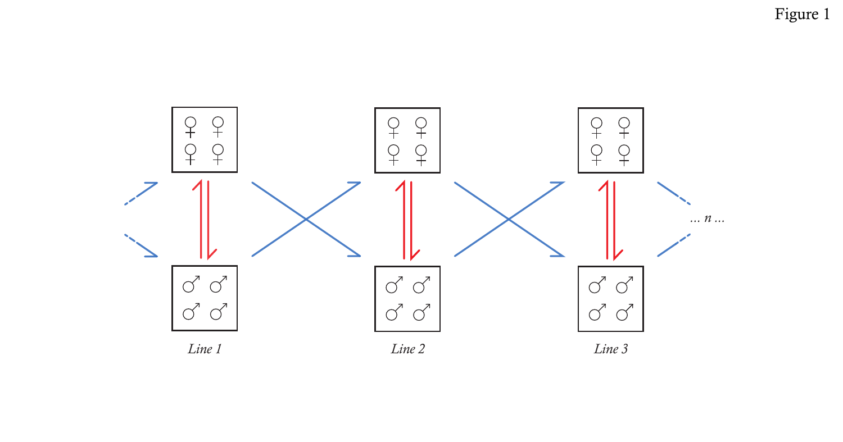Figure 1

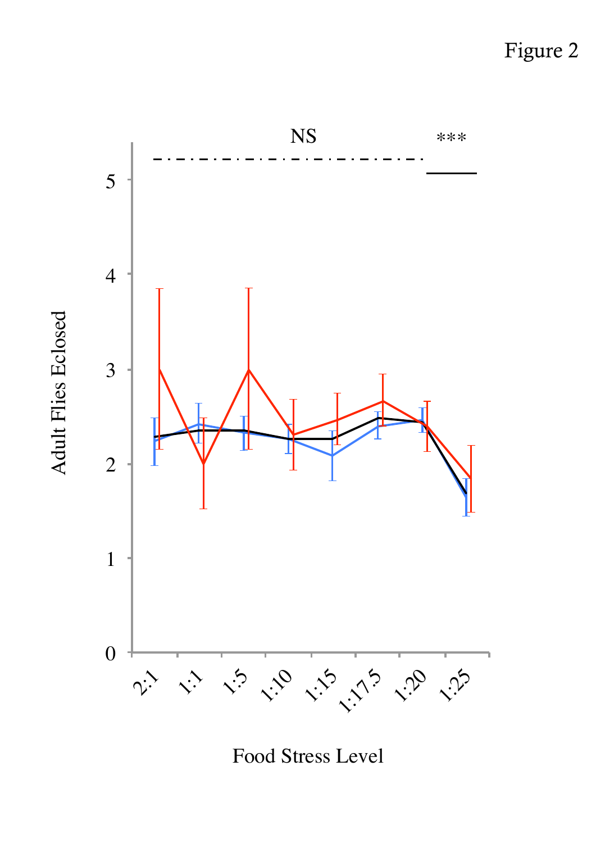Figure 2



Adult Flies Eclosed

**Adult Flies Eclosed** 

Food Stress Level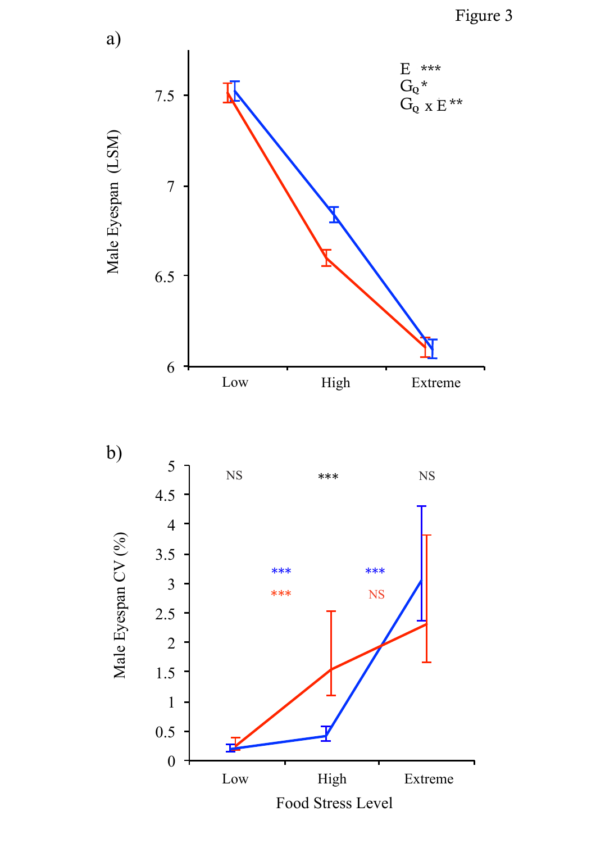